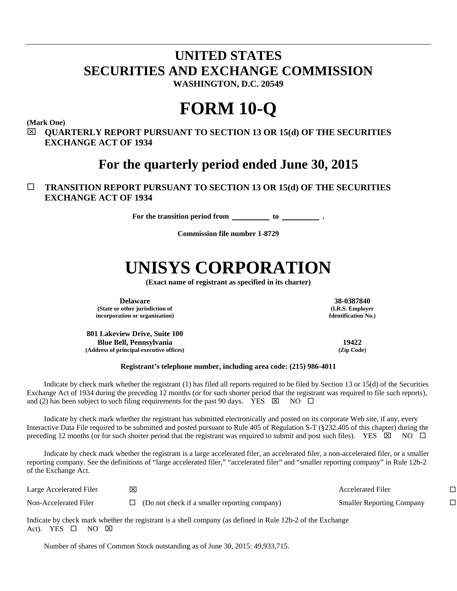## **UNITED STATES SECURITIES AND EXCHANGE COMMISSION WASHINGTON, D.C. 20549**

## **FORM 10-Q**

**(Mark One)**

 **QUARTERLY REPORT PURSUANT TO SECTION 13 OR 15(d) OF THE SECURITIES EXCHANGE ACT OF 1934**

**For the quarterly period ended June 30, 2015**

## **TRANSITION REPORT PURSUANT TO SECTION 13 OR 15(d) OF THE SECURITIES EXCHANGE ACT OF 1934**

**For the transition period from to .**

**Commission file number 1-8729**

# **UNISYS CORPORATION**

**(Exact name of registrant as specified in its charter)**

**Delaware 38-0387840 (State or other jurisdiction of incorporation or organization)**

**801 Lakeview Drive, Suite 100 Blue Bell, Pennsylvania 19422 (Address of principal executive offices) (Zip Code)**

**(I.R.S. Employer Identification No.)**

#### **Registrant's telephone number, including area code: (215) 986-4011**

Indicate by check mark whether the registrant (1) has filed all reports required to be filed by Section 13 or 15(d) of the Securities Exchange Act of 1934 during the preceding 12 months (or for such shorter period that the registrant was required to file such reports), and (2) has been subject to such filing requirements for the past 90 days. YES  $\boxtimes$  NO  $\Box$ 

Indicate by check mark whether the registrant has submitted electronically and posted on its corporate Web site, if any, every Interactive Data File required to be submitted and posted pursuant to Rule 405 of Regulation S-T (§232.405 of this chapter) during the preceding 12 months (or for such shorter period that the registrant was required to submit and post such files). YES  $\boxtimes$  NO  $\Box$ 

Indicate by check mark whether the registrant is a large accelerated filer, an accelerated filer, a non-accelerated filer, or a smaller reporting company. See the definitions of "large accelerated filer," "accelerated filer" and "smaller reporting company" in Rule 12b-2 of the Exchange Act.

| Large Accelerated Filer |                                               | <b>Accelerated Filer</b>         |  |
|-------------------------|-----------------------------------------------|----------------------------------|--|
| Non-Accelerated Filer   | (Do not check if a smaller reporting company) | <b>Smaller Reporting Company</b> |  |

Indicate by check mark whether the registrant is a shell company (as defined in Rule 12b-2 of the Exchange Act). YES  $\square$  NO  $\square$ 

Number of shares of Common Stock outstanding as of June 30, 2015: 49,933,715.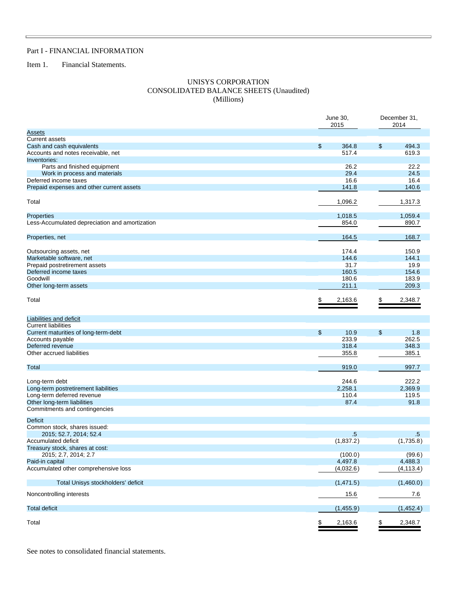### Part I - FINANCIAL INFORMATION

Item 1. Financial Statements.

 $\Box$ 

#### UNISYS CORPORATION CONSOLIDATED BALANCE SHEETS (Unaudited) (Millions)

|                                                | June 30,<br>2015 | December 31,<br>2014 |            |  |
|------------------------------------------------|------------------|----------------------|------------|--|
| <u>Assets</u>                                  |                  |                      |            |  |
| <b>Current assets</b>                          |                  |                      |            |  |
| Cash and cash equivalents                      | \$<br>364.8      | \$                   | 494.3      |  |
| Accounts and notes receivable, net             | 517.4            |                      | 619.3      |  |
| Inventories:                                   |                  |                      |            |  |
| Parts and finished equipment                   | 26.2             |                      | 22.2       |  |
| Work in process and materials                  | 29.4             |                      | 24.5       |  |
| Deferred income taxes                          | 16.6             |                      | 16.4       |  |
| Prepaid expenses and other current assets      | 141.8            |                      | 140.6      |  |
| Total                                          | 1,096.2          |                      | 1,317.3    |  |
|                                                |                  |                      |            |  |
| Properties                                     | 1,018.5          |                      | 1,059.4    |  |
| Less-Accumulated depreciation and amortization | 854.0            |                      | 890.7      |  |
| Properties, net                                | 164.5            |                      | 168.7      |  |
| Outsourcing assets, net                        | 174.4            |                      | 150.9      |  |
| Marketable software, net                       | 144.6            |                      | 144.1      |  |
| Prepaid postretirement assets                  | 31.7             |                      | 19.9       |  |
| Deferred income taxes                          | 160.5            |                      | 154.6      |  |
| Goodwill                                       | 180.6            |                      | 183.9      |  |
| Other long-term assets                         | 211.1            |                      | 209.3      |  |
| Total                                          | \$<br>2,163.6    | \$                   | 2,348.7    |  |
| Liabilities and deficit                        |                  |                      |            |  |
| <b>Current liabilities</b>                     |                  |                      |            |  |
| Current maturities of long-term-debt           | \$<br>10.9       | \$                   | 1.8        |  |
| Accounts payable                               | 233.9            |                      | 262.5      |  |
| Deferred revenue                               | 318.4            |                      | 348.3      |  |
| Other accrued liabilities                      | 355.8            |                      | 385.1      |  |
| Total                                          | 919.0            |                      | 997.7      |  |
|                                                |                  |                      |            |  |
| Long-term debt                                 | 244.6            |                      | 222.2      |  |
| Long-term postretirement liabilities           | 2,258.1          |                      | 2,369.9    |  |
| Long-term deferred revenue                     | 110.4            |                      | 119.5      |  |
| Other long-term liabilities                    | 87.4             |                      | 91.8       |  |
| Commitments and contingencies                  |                  |                      |            |  |
| <b>Deficit</b>                                 |                  |                      |            |  |
| Common stock, shares issued:                   |                  |                      |            |  |
| 2015; 52.7, 2014; 52.4                         | $.5\,$           |                      | $.5\,$     |  |
| Accumulated deficit                            | (1,837.2)        |                      | (1,735.8)  |  |
| Treasury stock, shares at cost:                |                  |                      |            |  |
| 2015; 2.7, 2014; 2.7                           | (100.0)          |                      | (99.6)     |  |
| Paid-in capital                                | 4,497.8          |                      | 4,488.3    |  |
| Accumulated other comprehensive loss           | (4,032.6)        |                      | (4, 113.4) |  |
| Total Unisys stockholders' deficit             | (1,471.5)        |                      | (1,460.0)  |  |
| Noncontrolling interests                       | 15.6             |                      | 7.6        |  |
| <b>Total deficit</b>                           | (1,455.9)        |                      | (1,452.4)  |  |
| Total                                          | \$<br>2,163.6    | <u>\$</u>            | 2,348.7    |  |

See notes to consolidated financial statements.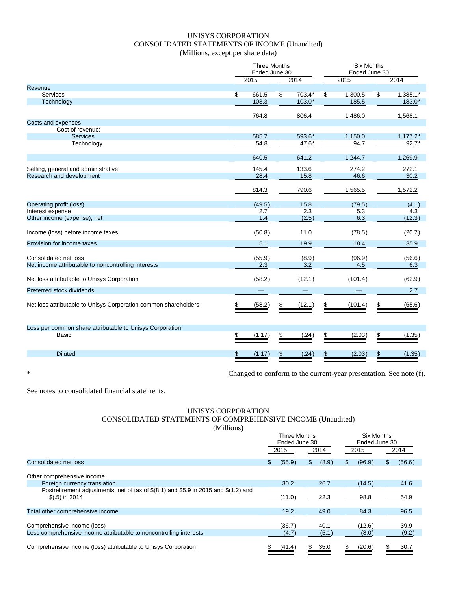## UNISYS CORPORATION CONSOLIDATED STATEMENTS OF INCOME (Unaudited) (Millions, except per share data)

|  | Millions, except per share data |  |  |
|--|---------------------------------|--|--|
|--|---------------------------------|--|--|

|                                                                 | <b>Three Months</b>  |               |                    | <b>Six Months</b> |                  |    |                      |  |  |
|-----------------------------------------------------------------|----------------------|---------------|--------------------|-------------------|------------------|----|----------------------|--|--|
|                                                                 |                      | Ended June 30 |                    |                   | Ended June 30    |    |                      |  |  |
|                                                                 | 2015                 |               | 2014               |                   | 2015             |    | 2014                 |  |  |
| Revenue                                                         |                      |               |                    |                   |                  |    |                      |  |  |
| <b>Services</b><br>Technology                                   | \$<br>661.5<br>103.3 | \$            | 703.4*<br>$103.0*$ | \$                | 1,300.5<br>185.5 | \$ | $1,385.1*$<br>183.0* |  |  |
|                                                                 |                      |               |                    |                   |                  |    |                      |  |  |
|                                                                 | 764.8                |               | 806.4              |                   | 1,486.0          |    | 1,568.1              |  |  |
| Costs and expenses                                              |                      |               |                    |                   |                  |    |                      |  |  |
| Cost of revenue:                                                |                      |               |                    |                   |                  |    |                      |  |  |
| <b>Services</b>                                                 | 585.7                |               | 593.6*             |                   | 1,150.0          |    | $1,177.2*$           |  |  |
| Technology                                                      | 54.8                 |               | 47.6*              |                   | 94.7             |    | $92.7*$              |  |  |
|                                                                 |                      |               |                    |                   |                  |    |                      |  |  |
|                                                                 | 640.5                |               | 641.2              |                   | 1,244.7          |    | 1,269.9              |  |  |
| Selling, general and administrative                             | 145.4                |               | 133.6              |                   | 274.2            |    | 272.1                |  |  |
| Research and development                                        | 28.4                 |               | 15.8               |                   | 46.6             |    | 30.2                 |  |  |
|                                                                 |                      |               |                    |                   |                  |    |                      |  |  |
|                                                                 | 814.3                |               | 790.6              |                   | 1,565.5          |    | 1,572.2              |  |  |
|                                                                 |                      |               |                    |                   |                  |    |                      |  |  |
| Operating profit (loss)<br>Interest expense                     | (49.5)<br>2.7        |               | 15.8<br>2.3        |                   | (79.5)<br>5.3    |    | (4.1)<br>4.3         |  |  |
| Other income (expense), net                                     | 1.4                  |               | (2.5)              |                   | 6.3              |    | (12.3)               |  |  |
|                                                                 |                      |               |                    |                   |                  |    |                      |  |  |
| Income (loss) before income taxes                               | (50.8)               |               | 11.0               |                   | (78.5)           |    | (20.7)               |  |  |
|                                                                 |                      |               |                    |                   |                  |    |                      |  |  |
| Provision for income taxes                                      | 5.1                  |               | 19.9               |                   | 18.4             |    | 35.9                 |  |  |
| Consolidated net loss                                           | (55.9)               |               | (8.9)              |                   | (96.9)           |    | (56.6)               |  |  |
| Net income attributable to noncontrolling interests             | 2.3                  |               | 3.2                |                   | 4.5              |    | 6.3                  |  |  |
|                                                                 |                      |               |                    |                   |                  |    |                      |  |  |
| Net loss attributable to Unisys Corporation                     | (58.2)               |               | (12.1)             |                   | (101.4)          |    | (62.9)               |  |  |
| Preferred stock dividends                                       |                      |               |                    |                   |                  |    | 2.7                  |  |  |
|                                                                 |                      |               |                    |                   |                  |    |                      |  |  |
| Net loss attributable to Unisys Corporation common shareholders | (58.2)               | S             | (12.1)             |                   | (101.4)          | S  | (65.6)               |  |  |
|                                                                 |                      |               |                    |                   |                  |    |                      |  |  |
|                                                                 |                      |               |                    |                   |                  |    |                      |  |  |
| Loss per common share attributable to Unisys Corporation        |                      |               |                    |                   |                  |    |                      |  |  |
| Basic                                                           | (1.17)               |               | (.24)              |                   | (2.03)           | \$ | (1.35)               |  |  |
|                                                                 |                      |               |                    |                   |                  |    |                      |  |  |
| <b>Diluted</b>                                                  | (1.17)               |               | (.24)              |                   | (2.03)           | S  | (1.35)               |  |  |
|                                                                 |                      |               |                    |                   |                  |    |                      |  |  |
|                                                                 |                      |               |                    |                   |                  |    |                      |  |  |

\* Changed to conform to the current-year presentation. See note (f).

See notes to consolidated financial statements.

#### UNISYS CORPORATION CONSOLIDATED STATEMENTS OF COMPREHENSIVE INCOME (Unaudited) (Millions)

|                                                                                                        |        | Three Months<br>Ended June 30 | <b>Six Months</b><br>Ended June 30 |               |  |
|--------------------------------------------------------------------------------------------------------|--------|-------------------------------|------------------------------------|---------------|--|
|                                                                                                        | 2015   | 2014                          | 2015                               | 2014          |  |
| Consolidated net loss                                                                                  | (55.9) | (8.9)<br>\$.                  | (96.9)<br>S                        | (56.6)<br>\$. |  |
| Other comprehensive income                                                                             |        |                               |                                    |               |  |
| Foreign currency translation                                                                           | 30.2   | 26.7                          | (14.5)                             | 41.6          |  |
| Postretirement adjustments, net of tax of \$(8.1) and \$5.9 in 2015 and \$(1.2) and<br>$(5.5)$ in 2014 | (11.0) | 22.3                          | 98.8                               | 54.9          |  |
| Total other comprehensive income                                                                       | 19.2   | 49.0                          | 84.3                               | 96.5          |  |
| Comprehensive income (loss)                                                                            | (36.7) | 40.1                          | (12.6)                             | 39.9          |  |
| Less comprehensive income attributable to noncontrolling interests                                     | (4.7)  | (5.1)                         | (8.0)                              | (9.2)         |  |
| Comprehensive income (loss) attributable to Unisys Corporation                                         | (41.4) | 35.0<br>\$.                   | (20.6)<br>\$.                      | 30.7          |  |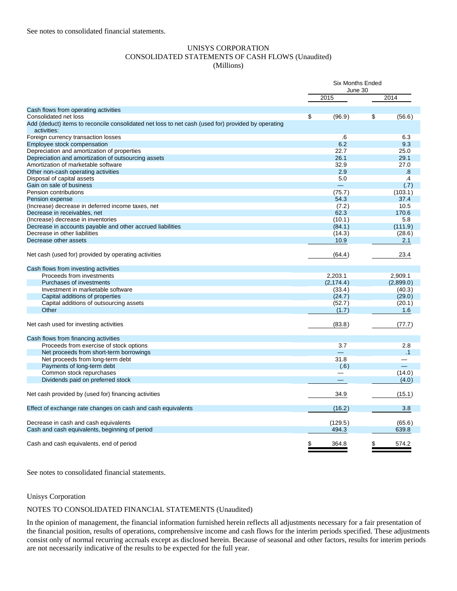#### UNISYS CORPORATION CONSOLIDATED STATEMENTS OF CASH FLOWS (Unaudited) (Millions)

|                                                                                                    |    | June 30<br>2015 |    | 2014      |
|----------------------------------------------------------------------------------------------------|----|-----------------|----|-----------|
| Cash flows from operating activities                                                               |    |                 |    |           |
| Consolidated net loss                                                                              | \$ | (96.9)          | \$ | (56.6)    |
| Add (deduct) items to reconcile consolidated net loss to net cash (used for) provided by operating |    |                 |    |           |
| activities:                                                                                        |    |                 |    |           |
| Foreign currency transaction losses                                                                |    | .6              |    | 6.3       |
| Employee stock compensation                                                                        |    | 6.2             |    | 9.3       |
| Depreciation and amortization of properties                                                        |    | 22.7            |    | 25.0      |
| Depreciation and amortization of outsourcing assets                                                |    | 26.1            |    | 29.1      |
| Amortization of marketable software                                                                |    | 32.9            |    | 27.0      |
| Other non-cash operating activities                                                                |    | 2.9             |    | .8        |
| Disposal of capital assets                                                                         |    | 5.0             |    | $\cdot$   |
| Gain on sale of business                                                                           |    | $\equiv$        |    | (.7)      |
| Pension contributions                                                                              |    | (75.7)          |    | (103.1)   |
| Pension expense                                                                                    |    | 54.3            |    | 37.4      |
| (Increase) decrease in deferred income taxes, net                                                  |    | (7.2)           |    | 10.5      |
| Decrease in receivables, net                                                                       |    | 62.3            |    | 170.6     |
| (Increase) decrease in inventories                                                                 |    | (10.1)          |    | 5.8       |
| Decrease in accounts payable and other accrued liabilities                                         |    | (84.1)          |    | (111.9)   |
| Decrease in other liabilities                                                                      |    | (14.3)          |    | (28.6)    |
| Decrease other assets                                                                              |    | 10.9            |    | 2.1       |
| Net cash (used for) provided by operating activities                                               |    | (64.4)          |    | 23.4      |
| Cash flows from investing activities                                                               |    |                 |    |           |
| Proceeds from investments                                                                          |    | 2,203.1         |    | 2,909.1   |
| Purchases of investments                                                                           |    | (2, 174.4)      |    | (2,899.0) |
| Investment in marketable software                                                                  |    | (33.4)          |    | (40.3)    |
| Capital additions of properties                                                                    |    | (24.7)          |    | (29.0)    |
| Capital additions of outsourcing assets                                                            |    | (52.7)          |    | (20.1)    |
| Other                                                                                              |    | (1.7)           |    | 1.6       |
| Net cash used for investing activities                                                             |    | (83.8)          |    | (77.7)    |
| Cash flows from financing activities                                                               |    |                 |    |           |
| Proceeds from exercise of stock options                                                            |    | 3.7             |    | 2.8       |
| Net proceeds from short-term borrowings                                                            |    |                 |    | .1        |
| Net proceeds from long-term debt                                                                   |    | 31.8            |    |           |
| Payments of long-term debt                                                                         |    | (.6)            |    |           |
| Common stock repurchases                                                                           |    |                 |    | (14.0)    |
| Dividends paid on preferred stock                                                                  |    |                 |    | (4.0)     |
| Net cash provided by (used for) financing activities                                               |    | 34.9            |    | (15.1)    |
| Effect of exchange rate changes on cash and cash equivalents                                       |    | (16.2)          |    | 3.8       |
|                                                                                                    |    |                 |    |           |
| Decrease in cash and cash equivalents                                                              |    | (129.5)         |    | (65.6)    |
| Cash and cash equivalents, beginning of period                                                     |    | 494.3           |    | 639.8     |
| Cash and cash equivalents, end of period                                                           | \$ | 364.8           |    | 574.2     |

See notes to consolidated financial statements.

#### Unisys Corporation

#### NOTES TO CONSOLIDATED FINANCIAL STATEMENTS (Unaudited)

In the opinion of management, the financial information furnished herein reflects all adjustments necessary for a fair presentation of the financial position, results of operations, comprehensive income and cash flows for the interim periods specified. These adjustments consist only of normal recurring accruals except as disclosed herein. Because of seasonal and other factors, results for interim periods are not necessarily indicative of the results to be expected for the full year.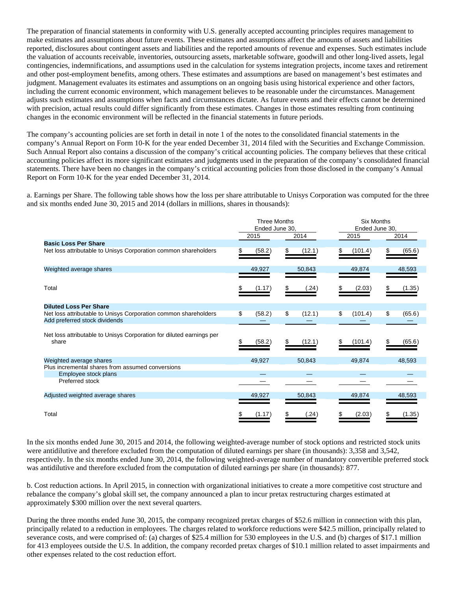The preparation of financial statements in conformity with U.S. generally accepted accounting principles requires management to make estimates and assumptions about future events. These estimates and assumptions affect the amounts of assets and liabilities reported, disclosures about contingent assets and liabilities and the reported amounts of revenue and expenses. Such estimates include the valuation of accounts receivable, inventories, outsourcing assets, marketable software, goodwill and other long-lived assets, legal contingencies, indemnifications, and assumptions used in the calculation for systems integration projects, income taxes and retirement and other post-employment benefits, among others. These estimates and assumptions are based on management's best estimates and judgment. Management evaluates its estimates and assumptions on an ongoing basis using historical experience and other factors, including the current economic environment, which management believes to be reasonable under the circumstances. Management adjusts such estimates and assumptions when facts and circumstances dictate. As future events and their effects cannot be determined with precision, actual results could differ significantly from these estimates. Changes in those estimates resulting from continuing changes in the economic environment will be reflected in the financial statements in future periods.

The company's accounting policies are set forth in detail in note 1 of the notes to the consolidated financial statements in the company's Annual Report on Form 10-K for the year ended December 31, 2014 filed with the Securities and Exchange Commission. Such Annual Report also contains a discussion of the company's critical accounting policies. The company believes that these critical accounting policies affect its more significant estimates and judgments used in the preparation of the company's consolidated financial statements. There have been no changes in the company's critical accounting policies from those disclosed in the company's Annual Report on Form 10-K for the year ended December 31, 2014.

a. Earnings per Share. The following table shows how the loss per share attributable to Unisys Corporation was computed for the three and six months ended June 30, 2015 and 2014 (dollars in millions, shares in thousands):

|                                                                               | <b>Three Months</b><br>Ended June 30, |        |    |        | <b>Six Months</b><br>Ended June 30, |         |    |        |
|-------------------------------------------------------------------------------|---------------------------------------|--------|----|--------|-------------------------------------|---------|----|--------|
|                                                                               |                                       | 2015   |    | 2014   |                                     | 2015    |    | 2014   |
| <b>Basic Loss Per Share</b>                                                   |                                       |        |    |        |                                     |         |    |        |
| Net loss attributable to Unisys Corporation common shareholders               |                                       | (58.2) | S  | (12.1) |                                     | (101.4) | S  | (65.6) |
| Weighted average shares                                                       |                                       | 49,927 |    | 50,843 |                                     | 49,874  |    | 48,593 |
|                                                                               |                                       |        |    |        |                                     |         |    |        |
| Total                                                                         |                                       | (1.17) |    | (.24)  |                                     | (2.03)  |    | (1.35) |
| <b>Diluted Loss Per Share</b>                                                 |                                       |        |    |        |                                     |         |    |        |
| Net loss attributable to Unisys Corporation common shareholders               | \$                                    | (58.2) | \$ | (12.1) | \$                                  | (101.4) | \$ | (65.6) |
| Add preferred stock dividends                                                 |                                       |        |    |        |                                     |         |    |        |
| Net loss attributable to Unisys Corporation for diluted earnings per<br>share |                                       | (58.2) |    | (12.1) |                                     | (101.4) |    | (65.6) |
| Weighted average shares                                                       |                                       | 49,927 |    | 50,843 |                                     | 49,874  |    | 48,593 |
| Plus incremental shares from assumed conversions                              |                                       |        |    |        |                                     |         |    |        |
| Employee stock plans                                                          |                                       |        |    |        |                                     |         |    |        |
| Preferred stock                                                               |                                       |        |    |        |                                     |         |    |        |
| Adjusted weighted average shares                                              |                                       | 49,927 |    | 50,843 |                                     | 49,874  |    | 48,593 |
|                                                                               |                                       |        |    |        |                                     |         |    |        |
| Total                                                                         |                                       | (1.17) |    | (.24)  |                                     | (2.03)  |    | (1.35) |

In the six months ended June 30, 2015 and 2014, the following weighted-average number of stock options and restricted stock units were antidilutive and therefore excluded from the computation of diluted earnings per share (in thousands): 3,358 and 3,542, respectively. In the six months ended June 30, 2014, the following weighted-average number of mandatory convertible preferred stock was antidilutive and therefore excluded from the computation of diluted earnings per share (in thousands): 877.

b. Cost reduction actions. In April 2015, in connection with organizational initiatives to create a more competitive cost structure and rebalance the company's global skill set, the company announced a plan to incur pretax restructuring charges estimated at approximately \$300 million over the next several quarters.

During the three months ended June 30, 2015, the company recognized pretax charges of \$52.6 million in connection with this plan, principally related to a reduction in employees. The charges related to workforce reductions were \$42.5 million, principally related to severance costs, and were comprised of: (a) charges of \$25.4 million for 530 employees in the U.S. and (b) charges of \$17.1 million for 413 employees outside the U.S. In addition, the company recorded pretax charges of \$10.1 million related to asset impairments and other expenses related to the cost reduction effort.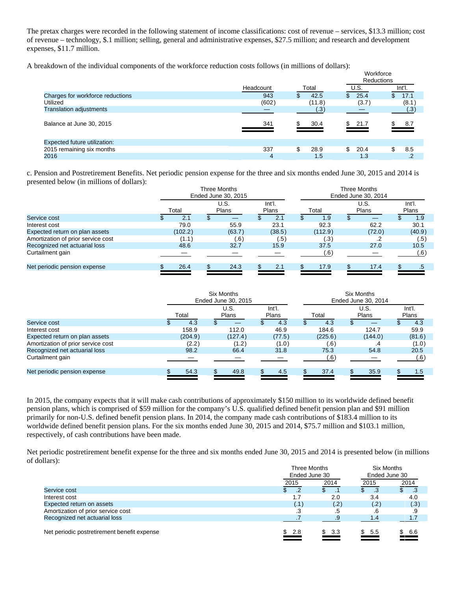The pretax charges were recorded in the following statement of income classifications: cost of revenue – services, \$13.3 million; cost of revenue – technology, \$.1 million; selling, general and administrative expenses, \$27.5 million; and research and development expenses, \$11.7 million.

A breakdown of the individual components of the workforce reduction costs follows (in millions of dollars):

| cakgown of the matylaga components of the workforce requerion costs follows (in millions of gonars). |           |               |                        |           |
|------------------------------------------------------------------------------------------------------|-----------|---------------|------------------------|-----------|
|                                                                                                      |           |               | Workforce              |           |
|                                                                                                      |           |               | <b>Reductions</b>      |           |
|                                                                                                      | Headcount | Total         | U.S.                   | Int'l.    |
| Charges for workforce reductions                                                                     | 943       | 42.5          | 25.4<br>$\mathbb{S}^-$ | 17.1      |
| Utilized                                                                                             | (602)     | (11.8)        | (3.7)                  | (8.1)     |
| <b>Translation adjustments</b>                                                                       |           | (.3)          |                        | (.3)      |
| Balance at June 30, 2015                                                                             | 341       | 30.4<br>\$.   | \$21.7                 | \$ 8.7    |
| <b>Expected future utilization:</b>                                                                  |           |               |                        |           |
| 2015 remaining six months                                                                            | 337       | \$<br>28.9    | \$<br>20.4             | 8.5<br>\$ |
| 2016                                                                                                 | 4         | $1.5^{\circ}$ | 1.3                    | .2        |
|                                                                                                      |           |               |                        |           |

c. Pension and Postretirement Benefits. Net periodic pension expense for the three and six months ended June 30, 2015 and 2014 is presented below (in millions of dollars):

|                                    | Three Months<br>Ended June 30, 2015 |  |                      |  |                 |         | Three Months<br>Ended June 30, 2014 |                      |  |                        |
|------------------------------------|-------------------------------------|--|----------------------|--|-----------------|---------|-------------------------------------|----------------------|--|------------------------|
|                                    | Total                               |  | U.S.<br><b>Plans</b> |  | Int'l.<br>Plans | Total   |                                     | U.S.<br><b>Plans</b> |  | Int'l.<br><b>Plans</b> |
| Service cost                       | 2.1                                 |  |                      |  | 2.1             | 1.9     |                                     |                      |  | 1.9                    |
| Interest cost                      | 79.0                                |  | 55.9                 |  | 23.1            | 92.3    |                                     | 62.2                 |  | 30.1                   |
| Expected return on plan assets     | (102.2)                             |  | (63.7)               |  | (38.5)          | (112.9) |                                     | (72.0)               |  | (40.9)                 |
| Amortization of prior service cost | (1.1)                               |  | (.6)                 |  | (.5)            | (.3)    |                                     |                      |  | (.5)                   |
| Recognized net actuarial loss      | 48.6                                |  | 32.7                 |  | 15.9            | 37.5    |                                     | 27.0                 |  | 10.5                   |
| Curtailment gain                   |                                     |  |                      |  |                 | (.6)    |                                     |                      |  | (.6)                   |
| Net periodic pension expense       | 26.4                                |  | 24.3                 |  | 2.1             | 17.9    |                                     | 17.4                 |  | .5                     |
|                                    |                                     |  |                      |  |                 |         |                                     |                      |  |                        |

|                                    | Six Months<br>Ended June 30, 2015 |     |                      |  |                 | Six Months<br>Ended June 30, 2014 |         |  |               |  |                 |
|------------------------------------|-----------------------------------|-----|----------------------|--|-----------------|-----------------------------------|---------|--|---------------|--|-----------------|
|                                    | Total                             |     | U.S.<br><b>Plans</b> |  | Int'l.<br>Plans |                                   | Total   |  | U.S.<br>Plans |  | Int'l.<br>Plans |
| Service cost                       | 4.3                               |     |                      |  | 4.3             |                                   | 4.3     |  | --            |  | 4.3             |
| Interest cost                      | 158.9                             |     | 112.0                |  | 46.9            |                                   | 184.6   |  | 124.7         |  | 59.9            |
| Expected return on plan assets     | (204.9)                           |     | (127.4)              |  | (77.5)          |                                   | (225.6) |  | (144.0)       |  | (81.6)          |
| Amortization of prior service cost | (2.2)                             |     | (1.2)                |  | (1.0)           |                                   | (6)     |  | .4            |  | (1.0)           |
| Recognized net actuarial loss      | 98.2                              |     | 66.4                 |  | 31.8            |                                   | 75.3    |  | 54.8          |  | 20.5            |
| Curtailment gain                   |                                   |     |                      |  |                 |                                   | .6)     |  |               |  | (.6)            |
| Net periodic pension expense       | 54.3                              | \$. | 49.8                 |  | 4.5             |                                   | 37.4    |  | 35.9          |  | 1.5             |

In 2015, the company expects that it will make cash contributions of approximately \$150 million to its worldwide defined benefit pension plans, which is comprised of \$59 million for the company's U.S. qualified defined benefit pension plan and \$91 million primarily for non-U.S. defined benefit pension plans. In 2014, the company made cash contributions of \$183.4 million to its worldwide defined benefit pension plans. For the six months ended June 30, 2015 and 2014, \$75.7 million and \$103.1 million, respectively, of cash contributions have been made.

Net periodic postretirement benefit expense for the three and six months ended June 30, 2015 and 2014 is presented below (in millions of dollars):

|                                             | Three Months<br>Ended June 30 |           | <b>Six Months</b><br>Ended June 30 |            |  |
|---------------------------------------------|-------------------------------|-----------|------------------------------------|------------|--|
|                                             | 2015                          | 2014      | 2015                               | 2014       |  |
| Service cost                                | $\overline{2}$                |           | -3                                 | .3         |  |
| Interest cost                               | 1.7                           | 2.0       | 3.4                                | 4.0        |  |
| Expected return on assets                   | (1)                           | (.2)      | (.2)                               | (.3)       |  |
| Amortization of prior service cost          | .3                            |           |                                    |            |  |
| Recognized net actuarial loss               |                               |           | 1.4                                | 1.7        |  |
| Net periodic postretirement benefit expense | \$.<br>-2.8                   | \$<br>3.3 | 5.5<br>\$.                         | \$.<br>6.6 |  |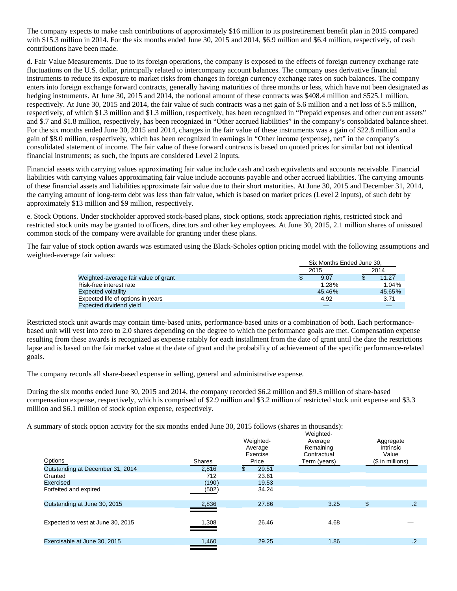The company expects to make cash contributions of approximately \$16 million to its postretirement benefit plan in 2015 compared with \$15.3 million in 2014. For the six months ended June 30, 2015 and 2014, \$6.9 million and \$6.4 million, respectively, of cash contributions have been made.

d. Fair Value Measurements. Due to its foreign operations, the company is exposed to the effects of foreign currency exchange rate fluctuations on the U.S. dollar, principally related to intercompany account balances. The company uses derivative financial instruments to reduce its exposure to market risks from changes in foreign currency exchange rates on such balances. The company enters into foreign exchange forward contracts, generally having maturities of three months or less, which have not been designated as hedging instruments. At June 30, 2015 and 2014, the notional amount of these contracts was \$408.4 million and \$525.1 million, respectively. At June 30, 2015 and 2014, the fair value of such contracts was a net gain of \$.6 million and a net loss of \$.5 million, respectively, of which \$1.3 million and \$1.3 million, respectively, has been recognized in "Prepaid expenses and other current assets" and \$.7 and \$1.8 million, respectively, has been recognized in "Other accrued liabilities" in the company's consolidated balance sheet. For the six months ended June 30, 2015 and 2014, changes in the fair value of these instruments was a gain of \$22.8 million and a gain of \$8.0 million, respectively, which has been recognized in earnings in "Other income (expense), net" in the company's consolidated statement of income. The fair value of these forward contracts is based on quoted prices for similar but not identical financial instruments; as such, the inputs are considered Level 2 inputs.

Financial assets with carrying values approximating fair value include cash and cash equivalents and accounts receivable. Financial liabilities with carrying values approximating fair value include accounts payable and other accrued liabilities. The carrying amounts of these financial assets and liabilities approximate fair value due to their short maturities. At June 30, 2015 and December 31, 2014, the carrying amount of long-term debt was less than fair value, which is based on market prices (Level 2 inputs), of such debt by approximately \$13 million and \$9 million, respectively.

e. Stock Options. Under stockholder approved stock-based plans, stock options, stock appreciation rights, restricted stock and restricted stock units may be granted to officers, directors and other key employees. At June 30, 2015, 2.1 million shares of unissued common stock of the company were available for granting under these plans.

The fair value of stock option awards was estimated using the Black-Scholes option pricing model with the following assumptions and weighted-average fair values:

|                                      | Six Months Ended June 30. |  |          |  |  |  |
|--------------------------------------|---------------------------|--|----------|--|--|--|
|                                      | 2015                      |  |          |  |  |  |
| Weighted-average fair value of grant | 9.07                      |  | 11.27    |  |  |  |
| Risk-free interest rate              | 1.28%                     |  | $1.04\%$ |  |  |  |
| <b>Expected volatility</b>           | 45.46%                    |  | 45.65%   |  |  |  |
| Expected life of options in years    | 4.92                      |  | 3.71     |  |  |  |
| Expected dividend yield              |                           |  |          |  |  |  |

Restricted stock unit awards may contain time-based units, performance-based units or a combination of both. Each performancebased unit will vest into zero to 2.0 shares depending on the degree to which the performance goals are met. Compensation expense resulting from these awards is recognized as expense ratably for each installment from the date of grant until the date the restrictions lapse and is based on the fair market value at the date of grant and the probability of achievement of the specific performance-related goals.

The company records all share-based expense in selling, general and administrative expense.

During the six months ended June 30, 2015 and 2014, the company recorded \$6.2 million and \$9.3 million of share-based compensation expense, respectively, which is comprised of \$2.9 million and \$3.2 million of restricted stock unit expense and \$3.3 million and \$6.1 million of stock option expense, respectively.

A summary of stock option activity for the six months ended June 30, 2015 follows (shares in thousands):

| Options                           | <b>Shares</b> | Weighted-<br>Average<br>Exercise<br>Price | Weighted-<br>Average<br>Remaining<br>Contractual<br>Term (years) | Aggregate<br><b>Intrinsic</b><br>Value<br>(\$ in millions) |
|-----------------------------------|---------------|-------------------------------------------|------------------------------------------------------------------|------------------------------------------------------------|
| Outstanding at December 31, 2014  | 2.816         | 29.51<br>\$.                              |                                                                  |                                                            |
| Granted                           | 712           | 23.61                                     |                                                                  |                                                            |
| Exercised                         | (190)         | 19.53                                     |                                                                  |                                                            |
| Forfeited and expired             | (502)         | 34.24                                     |                                                                  |                                                            |
| Outstanding at June 30, 2015      | 2,836         | 27.86                                     | 3.25                                                             | \$<br>$\cdot$                                              |
| Expected to vest at June 30, 2015 | 1,308         | 26.46                                     | 4.68                                                             |                                                            |
| Exercisable at June 30, 2015      | 1,460         | 29.25                                     | 1.86                                                             | $\overline{.2}$                                            |
|                                   |               |                                           |                                                                  |                                                            |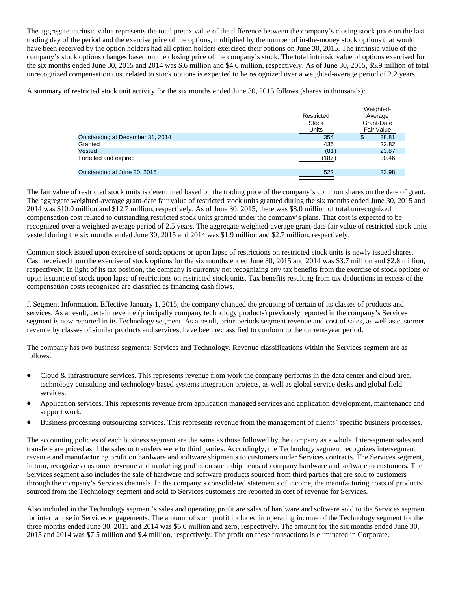The aggregate intrinsic value represents the total pretax value of the difference between the company's closing stock price on the last trading day of the period and the exercise price of the options, multiplied by the number of in-the-money stock options that would have been received by the option holders had all option holders exercised their options on June 30, 2015. The intrinsic value of the company's stock options changes based on the closing price of the company's stock. The total intrinsic value of options exercised for the six months ended June 30, 2015 and 2014 was \$.6 million and \$4.6 million, respectively. As of June 30, 2015, \$5.9 million of total unrecognized compensation cost related to stock options is expected to be recognized over a weighted-average period of 2.2 years.

A summary of restricted stock unit activity for the six months ended June 30, 2015 follows (shares in thousands):

| Restricted<br><b>Stock</b><br>Units | vveignied-<br>Average<br>Grant-Date<br><b>Fair Value</b> |
|-------------------------------------|----------------------------------------------------------|
| 354                                 | \$<br>28.81                                              |
| 436                                 | 22.82                                                    |
| (81)                                | 23.87                                                    |
| (187)                               | 30.46                                                    |
| 522                                 | 23.98                                                    |
|                                     |                                                          |

Weighted-

The fair value of restricted stock units is determined based on the trading price of the company's common shares on the date of grant. The aggregate weighted-average grant-date fair value of restricted stock units granted during the six months ended June 30, 2015 and 2014 was \$10.0 million and \$12.7 million, respectively. As of June 30, 2015, there was \$8.0 million of total unrecognized compensation cost related to outstanding restricted stock units granted under the company's plans. That cost is expected to be recognized over a weighted-average period of 2.5 years. The aggregate weighted-average grant-date fair value of restricted stock units vested during the six months ended June 30, 2015 and 2014 was \$1.9 million and \$2.7 million, respectively.

Common stock issued upon exercise of stock options or upon lapse of restrictions on restricted stock units is newly issued shares. Cash received from the exercise of stock options for the six months ended June 30, 2015 and 2014 was \$3.7 million and \$2.8 million, respectively. In light of its tax position, the company is currently not recognizing any tax benefits from the exercise of stock options or upon issuance of stock upon lapse of restrictions on restricted stock units. Tax benefits resulting from tax deductions in excess of the compensation costs recognized are classified as financing cash flows.

f. Segment Information. Effective January 1, 2015, the company changed the grouping of certain of its classes of products and services. As a result, certain revenue (principally company technology products) previously reported in the company's Services segment is now reported in its Technology segment. As a result, prior-periods segment revenue and cost of sales, as well as customer revenue by classes of similar products and services, have been reclassified to conform to the current-year period.

The company has two business segments: Services and Technology. Revenue classifications within the Services segment are as follows:

- Cloud & infrastructure services. This represents revenue from work the company performs in the data center and cloud area, technology consulting and technology-based systems integration projects, as well as global service desks and global field services.
- Application services. This represents revenue from application managed services and application development, maintenance and support work.
- Business processing outsourcing services. This represents revenue from the management of clients' specific business processes.

The accounting policies of each business segment are the same as those followed by the company as a whole. Intersegment sales and transfers are priced as if the sales or transfers were to third parties. Accordingly, the Technology segment recognizes intersegment revenue and manufacturing profit on hardware and software shipments to customers under Services contracts. The Services segment, in turn, recognizes customer revenue and marketing profits on such shipments of company hardware and software to customers. The Services segment also includes the sale of hardware and software products sourced from third parties that are sold to customers through the company's Services channels. In the company's consolidated statements of income, the manufacturing costs of products sourced from the Technology segment and sold to Services customers are reported in cost of revenue for Services.

Also included in the Technology segment's sales and operating profit are sales of hardware and software sold to the Services segment for internal use in Services engagements. The amount of such profit included in operating income of the Technology segment for the three months ended June 30, 2015 and 2014 was \$6.0 million and zero, respectively. The amount for the six months ended June 30, 2015 and 2014 was \$7.5 million and \$.4 million, respectively. The profit on these transactions is eliminated in Corporate.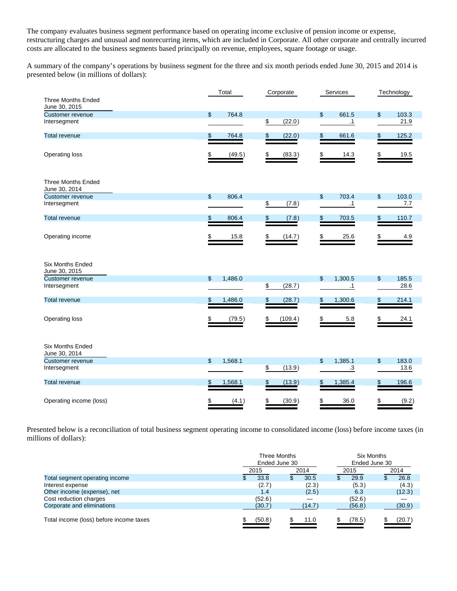The company evaluates business segment performance based on operating income exclusive of pension income or expense, restructuring charges and unusual and nonrecurring items, which are included in Corporate. All other corporate and centrally incurred costs are allocated to the business segments based principally on revenue, employees, square footage or usage.

A summary of the company's operations by business segment for the three and six month periods ended June 30, 2015 and 2014 is presented below (in millions of dollars):

|                                            |                | Total   | Corporate     | Services             |     | Technology |
|--------------------------------------------|----------------|---------|---------------|----------------------|-----|------------|
| <b>Three Months Ended</b><br>June 30, 2015 |                |         |               |                      |     |            |
| <b>Customer revenue</b>                    | $\mathfrak{L}$ | 764.8   |               | \$<br>661.5          | \$  | 103.3      |
| Intersegment                               |                |         | \$<br>(22.0)  | $\cdot$ 1            |     | 21.9       |
|                                            |                |         |               |                      |     |            |
| <b>Total revenue</b>                       | \$             | 764.8   | \$<br>(22.0)  | \$<br>661.6          | S   | 125.2      |
|                                            |                |         |               |                      |     |            |
| Operating loss                             |                | (49.5)  | (83.3)        | 14.3                 |     | 19.5       |
| <b>Three Months Ended</b><br>June 30, 2014 |                |         |               |                      |     |            |
| Customer revenue                           | $\mathfrak{s}$ | 806.4   |               | \$<br>703.4          | \$  | 103.0      |
| Intersegment                               |                |         | \$<br>(7.8)   | $\cdot$ 1            |     | 7.7        |
| <b>Total revenue</b>                       | \$             | 806.4   | \$<br>(7.8)   | \$<br>703.5          | \$. | 110.7      |
| Operating income                           |                | 15.8    | \$<br>(14.7)  | 25.6                 |     | 4.9        |
| Six Months Ended<br>June 30, 2015          |                |         |               |                      |     |            |
| <b>Customer revenue</b>                    | $\mathfrak{L}$ | 1,486.0 |               | \$<br>1,300.5        | \$  | 185.5      |
| Intersegment                               |                |         | \$<br>(28.7)  | $\cdot$ 1            |     | 28.6       |
| <b>Total revenue</b>                       | \$             | 1,486.0 | \$<br>(28.7)  | \$<br>1,300.6        |     | 214.1      |
| Operating loss                             |                | (79.5)  | \$<br>(109.4) | 5.8                  |     | 24.1       |
| <b>Six Months Ended</b><br>June 30, 2014   |                |         |               |                      |     |            |
| <b>Customer revenue</b>                    | $\mathfrak{L}$ | 1,568.1 |               | \$<br>1,385.1        | \$  | 183.0      |
| Intersegment                               |                |         | \$<br>(13.9)  | $\cdot$ <sup>3</sup> |     | 13.6       |
| <b>Total revenue</b>                       | S              | 1,568.1 | \$<br>(13.9)  | \$<br>1,385.4        | S   | 196.6      |
| Operating income (loss)                    | \$             | (4.1)   | \$<br>(30.9)  | 36.0                 |     | (9.2)      |

Presented below is a reconciliation of total business segment operating income to consolidated income (loss) before income taxes (in millions of dollars):

|                                         | Three Months<br>Ended June 30 |        |  | Six Months<br>Ended June 30 |  |        |  |        |
|-----------------------------------------|-------------------------------|--------|--|-----------------------------|--|--------|--|--------|
|                                         |                               | 2015   |  | 2014                        |  | 2015   |  | 2014   |
| Total segment operating income          |                               | 33.8   |  | 30.5                        |  | 29.9   |  | 26.8   |
| Interest expense                        |                               | (2.7)  |  | (2.3)                       |  | (5.3)  |  | (4.3)  |
| Other income (expense), net             |                               | 1.4    |  | (2.5)                       |  | 6.3    |  | (12.3) |
| Cost reduction charges                  |                               | (52.6) |  |                             |  | (52.6) |  |        |
| Corporate and eliminations              |                               | (30.7) |  | (14.7)                      |  | (56.8) |  | (30.9) |
|                                         |                               |        |  |                             |  |        |  |        |
| Total income (loss) before income taxes |                               | (50.8) |  | 11.0                        |  | (78.5) |  | (20.7  |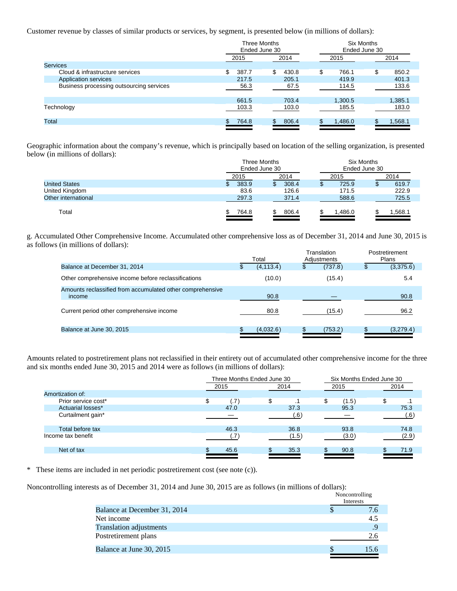Customer revenue by classes of similar products or services, by segment, is presented below (in millions of dollars):

|                                          | Three Months<br>Ended June 30 |              | <b>Six Months</b><br>Ended June 30 |             |
|------------------------------------------|-------------------------------|--------------|------------------------------------|-------------|
|                                          | 2015                          | 2014         | 2015                               | 2014        |
| <b>Services</b>                          |                               |              |                                    |             |
| Cloud & infrastructure services          | \$<br>387.7                   | \$.<br>430.8 | \$<br>766.1                        | \$<br>850.2 |
| Application services                     | 217.5                         | 205.1        | 419.9                              | 401.3       |
| Business processing outsourcing services | 56.3                          | 67.5         | 114.5                              | 133.6       |
|                                          | 661.5                         | 703.4        | 1,300.5                            | 1,385.1     |
| Technology                               | 103.3                         | 103.0        | 185.5                              | 183.0       |
| Total                                    | 764.8                         | 806.4<br>\$  | 1,486.0                            | 1,568.1     |
|                                          |                               |              |                                    |             |

Geographic information about the company's revenue, which is principally based on location of the selling organization, is presented below (in millions of dollars):

|                      | Three Months  |       | Six Months    |          |  |  |
|----------------------|---------------|-------|---------------|----------|--|--|
|                      | Ended June 30 |       | Ended June 30 |          |  |  |
|                      | 2015          | 2014  | 2015          | 2014     |  |  |
| <b>United States</b> | 383.9         | 308.4 | 725.9         | 619.7    |  |  |
| United Kingdom       | 83.6          | 126.6 | 171.5         | 222.9    |  |  |
| Other international  | 297.3         | 371.4 | 588.6         | 725.5    |  |  |
|                      |               |       |               |          |  |  |
| Total                | 764.8         | 806.4 | .486.0        | 568.1. ا |  |  |
|                      |               |       |               |          |  |  |

g. Accumulated Other Comprehensive Income. Accumulated other comprehensive loss as of December 31, 2014 and June 30, 2015 is as follows (in millions of dollars):

|                                                                     |              | Total      |   | Translation<br>Adjustments | Postretirement<br><b>Plans</b> |
|---------------------------------------------------------------------|--------------|------------|---|----------------------------|--------------------------------|
| Balance at December 31, 2014                                        | $\mathbf{E}$ | (4, 113.4) | S | (737.8)                    | (3,375.6)                      |
| Other comprehensive income before reclassifications                 |              | (10.0)     |   | (15.4)                     | 5.4                            |
| Amounts reclassified from accumulated other comprehensive<br>income |              | 90.8       |   |                            | 90.8                           |
| Current period other comprehensive income                           |              | 80.8       |   | (15.4)                     | 96.2                           |
| Balance at June 30, 2015                                            |              | (4,032.6)  |   | (753.2)                    | (3,279.4)                      |

Amounts related to postretirement plans not reclassified in their entirety out of accumulated other comprehensive income for the three and six months ended June 30, 2015 and 2014 were as follows (in millions of dollars):

|                     |                           | Three Months Ended June 30 | Six Months Ended June 30 |       |
|---------------------|---------------------------|----------------------------|--------------------------|-------|
|                     | 2015                      | 2014                       | 2015                     | 2014  |
| Amortization of:    |                           |                            |                          |       |
| Prior service cost* | \$<br>$\left( .7 \right)$ | \$.                        | \$<br>(1.5)              | \$    |
| Actuarial losses*   | 47.0                      | 37.3                       | 95.3                     | 75.3  |
| Curtailment gain*   |                           | (6, 6)                     |                          | (.6)  |
| Total before tax    | 46.3                      | 36.8                       | 93.8                     | 74.8  |
| Income tax benefit  |                           | (1.5)                      | (3.0)                    | (2.9) |
| Net of tax          | 45.6                      | 35.3                       | 90.8                     | 71.9  |
|                     |                           |                            |                          |       |

\* These items are included in net periodic postretirement cost (see note (c)).

Noncontrolling interests as of December 31, 2014 and June 30, 2015 are as follows (in millions of dollars):

|                                | Noncontrolling<br>Interests |
|--------------------------------|-----------------------------|
| Balance at December 31, 2014   | 7.6                         |
| Net income                     | 4.5                         |
| <b>Translation adjustments</b> | .9                          |
| Postretirement plans           | 2.6                         |
| Balance at June 30, 2015       |                             |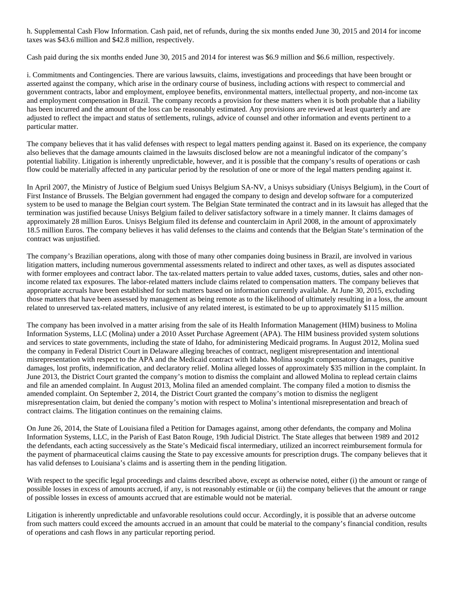h. Supplemental Cash Flow Information. Cash paid, net of refunds, during the six months ended June 30, 2015 and 2014 for income taxes was \$43.6 million and \$42.8 million, respectively.

Cash paid during the six months ended June 30, 2015 and 2014 for interest was \$6.9 million and \$6.6 million, respectively.

i. Commitments and Contingencies. There are various lawsuits, claims, investigations and proceedings that have been brought or asserted against the company, which arise in the ordinary course of business, including actions with respect to commercial and government contracts, labor and employment, employee benefits, environmental matters, intellectual property, and non-income tax and employment compensation in Brazil. The company records a provision for these matters when it is both probable that a liability has been incurred and the amount of the loss can be reasonably estimated. Any provisions are reviewed at least quarterly and are adjusted to reflect the impact and status of settlements, rulings, advice of counsel and other information and events pertinent to a particular matter.

The company believes that it has valid defenses with respect to legal matters pending against it. Based on its experience, the company also believes that the damage amounts claimed in the lawsuits disclosed below are not a meaningful indicator of the company's potential liability. Litigation is inherently unpredictable, however, and it is possible that the company's results of operations or cash flow could be materially affected in any particular period by the resolution of one or more of the legal matters pending against it.

In April 2007, the Ministry of Justice of Belgium sued Unisys Belgium SA-NV, a Unisys subsidiary (Unisys Belgium), in the Court of First Instance of Brussels. The Belgian government had engaged the company to design and develop software for a computerized system to be used to manage the Belgian court system. The Belgian State terminated the contract and in its lawsuit has alleged that the termination was justified because Unisys Belgium failed to deliver satisfactory software in a timely manner. It claims damages of approximately 28 million Euros. Unisys Belgium filed its defense and counterclaim in April 2008, in the amount of approximately 18.5 million Euros. The company believes it has valid defenses to the claims and contends that the Belgian State's termination of the contract was unjustified.

The company's Brazilian operations, along with those of many other companies doing business in Brazil, are involved in various litigation matters, including numerous governmental assessments related to indirect and other taxes, as well as disputes associated with former employees and contract labor. The tax-related matters pertain to value added taxes, customs, duties, sales and other nonincome related tax exposures. The labor-related matters include claims related to compensation matters. The company believes that appropriate accruals have been established for such matters based on information currently available. At June 30, 2015, excluding those matters that have been assessed by management as being remote as to the likelihood of ultimately resulting in a loss, the amount related to unreserved tax-related matters, inclusive of any related interest, is estimated to be up to approximately \$115 million.

The company has been involved in a matter arising from the sale of its Health Information Management (HIM) business to Molina Information Systems, LLC (Molina) under a 2010 Asset Purchase Agreement (APA). The HIM business provided system solutions and services to state governments, including the state of Idaho, for administering Medicaid programs. In August 2012, Molina sued the company in Federal District Court in Delaware alleging breaches of contract, negligent misrepresentation and intentional misrepresentation with respect to the APA and the Medicaid contract with Idaho. Molina sought compensatory damages, punitive damages, lost profits, indemnification, and declaratory relief. Molina alleged losses of approximately \$35 million in the complaint. In June 2013, the District Court granted the company's motion to dismiss the complaint and allowed Molina to replead certain claims and file an amended complaint. In August 2013, Molina filed an amended complaint. The company filed a motion to dismiss the amended complaint. On September 2, 2014, the District Court granted the company's motion to dismiss the negligent misrepresentation claim, but denied the company's motion with respect to Molina's intentional misrepresentation and breach of contract claims. The litigation continues on the remaining claims.

On June 26, 2014, the State of Louisiana filed a Petition for Damages against, among other defendants, the company and Molina Information Systems, LLC, in the Parish of East Baton Rouge, 19th Judicial District. The State alleges that between 1989 and 2012 the defendants, each acting successively as the State's Medicaid fiscal intermediary, utilized an incorrect reimbursement formula for the payment of pharmaceutical claims causing the State to pay excessive amounts for prescription drugs. The company believes that it has valid defenses to Louisiana's claims and is asserting them in the pending litigation.

With respect to the specific legal proceedings and claims described above, except as otherwise noted, either (i) the amount or range of possible losses in excess of amounts accrued, if any, is not reasonably estimable or (ii) the company believes that the amount or range of possible losses in excess of amounts accrued that are estimable would not be material.

Litigation is inherently unpredictable and unfavorable resolutions could occur. Accordingly, it is possible that an adverse outcome from such matters could exceed the amounts accrued in an amount that could be material to the company's financial condition, results of operations and cash flows in any particular reporting period.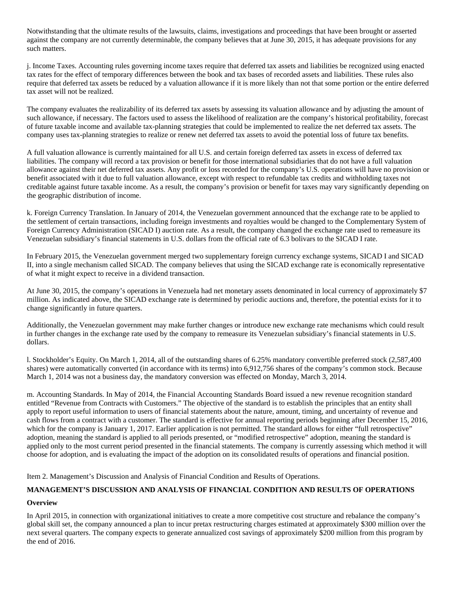Notwithstanding that the ultimate results of the lawsuits, claims, investigations and proceedings that have been brought or asserted against the company are not currently determinable, the company believes that at June 30, 2015, it has adequate provisions for any such matters.

j. Income Taxes. Accounting rules governing income taxes require that deferred tax assets and liabilities be recognized using enacted tax rates for the effect of temporary differences between the book and tax bases of recorded assets and liabilities. These rules also require that deferred tax assets be reduced by a valuation allowance if it is more likely than not that some portion or the entire deferred tax asset will not be realized.

The company evaluates the realizability of its deferred tax assets by assessing its valuation allowance and by adjusting the amount of such allowance, if necessary. The factors used to assess the likelihood of realization are the company's historical profitability, forecast of future taxable income and available tax-planning strategies that could be implemented to realize the net deferred tax assets. The company uses tax-planning strategies to realize or renew net deferred tax assets to avoid the potential loss of future tax benefits.

A full valuation allowance is currently maintained for all U.S. and certain foreign deferred tax assets in excess of deferred tax liabilities. The company will record a tax provision or benefit for those international subsidiaries that do not have a full valuation allowance against their net deferred tax assets. Any profit or loss recorded for the company's U.S. operations will have no provision or benefit associated with it due to full valuation allowance, except with respect to refundable tax credits and withholding taxes not creditable against future taxable income. As a result, the company's provision or benefit for taxes may vary significantly depending on the geographic distribution of income.

k. Foreign Currency Translation. In January of 2014, the Venezuelan government announced that the exchange rate to be applied to the settlement of certain transactions, including foreign investments and royalties would be changed to the Complementary System of Foreign Currency Administration (SICAD I) auction rate. As a result, the company changed the exchange rate used to remeasure its Venezuelan subsidiary's financial statements in U.S. dollars from the official rate of 6.3 bolivars to the SICAD I rate.

In February 2015, the Venezuelan government merged two supplementary foreign currency exchange systems, SICAD I and SICAD II, into a single mechanism called SICAD. The company believes that using the SICAD exchange rate is economically representative of what it might expect to receive in a dividend transaction.

At June 30, 2015, the company's operations in Venezuela had net monetary assets denominated in local currency of approximately \$7 million. As indicated above, the SICAD exchange rate is determined by periodic auctions and, therefore, the potential exists for it to change significantly in future quarters.

Additionally, the Venezuelan government may make further changes or introduce new exchange rate mechanisms which could result in further changes in the exchange rate used by the company to remeasure its Venezuelan subsidiary's financial statements in U.S. dollars.

l. Stockholder's Equity. On March 1, 2014, all of the outstanding shares of 6.25% mandatory convertible preferred stock (2,587,400 shares) were automatically converted (in accordance with its terms) into 6,912,756 shares of the company's common stock. Because March 1, 2014 was not a business day, the mandatory conversion was effected on Monday, March 3, 2014.

m. Accounting Standards. In May of 2014, the Financial Accounting Standards Board issued a new revenue recognition standard entitled "Revenue from Contracts with Customers." The objective of the standard is to establish the principles that an entity shall apply to report useful information to users of financial statements about the nature, amount, timing, and uncertainty of revenue and cash flows from a contract with a customer. The standard is effective for annual reporting periods beginning after December 15, 2016, which for the company is January 1, 2017. Earlier application is not permitted. The standard allows for either "full retrospective" adoption, meaning the standard is applied to all periods presented, or "modified retrospective" adoption, meaning the standard is applied only to the most current period presented in the financial statements. The company is currently assessing which method it will choose for adoption, and is evaluating the impact of the adoption on its consolidated results of operations and financial position.

Item 2. Management's Discussion and Analysis of Financial Condition and Results of Operations.

### **MANAGEMENT'S DISCUSSION AND ANALYSIS OF FINANCIAL CONDITION AND RESULTS OF OPERATIONS**

#### **Overview**

In April 2015, in connection with organizational initiatives to create a more competitive cost structure and rebalance the company's global skill set, the company announced a plan to incur pretax restructuring charges estimated at approximately \$300 million over the next several quarters. The company expects to generate annualized cost savings of approximately \$200 million from this program by the end of 2016.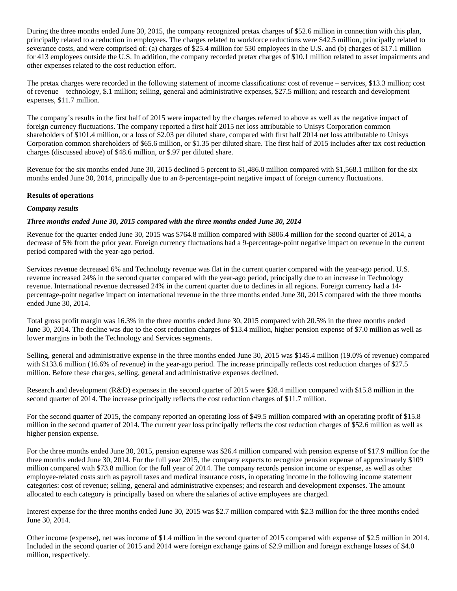During the three months ended June 30, 2015, the company recognized pretax charges of \$52.6 million in connection with this plan, principally related to a reduction in employees. The charges related to workforce reductions were \$42.5 million, principally related to severance costs, and were comprised of: (a) charges of \$25.4 million for 530 employees in the U.S. and (b) charges of \$17.1 million for 413 employees outside the U.S. In addition, the company recorded pretax charges of \$10.1 million related to asset impairments and other expenses related to the cost reduction effort.

The pretax charges were recorded in the following statement of income classifications: cost of revenue – services, \$13.3 million; cost of revenue – technology, \$.1 million; selling, general and administrative expenses, \$27.5 million; and research and development expenses, \$11.7 million.

The company's results in the first half of 2015 were impacted by the charges referred to above as well as the negative impact of foreign currency fluctuations. The company reported a first half 2015 net loss attributable to Unisys Corporation common shareholders of \$101.4 million, or a loss of \$2.03 per diluted share, compared with first half 2014 net loss attributable to Unisys Corporation common shareholders of \$65.6 million, or \$1.35 per diluted share. The first half of 2015 includes after tax cost reduction charges (discussed above) of \$48.6 million, or \$.97 per diluted share.

Revenue for the six months ended June 30, 2015 declined 5 percent to \$1,486.0 million compared with \$1,568.1 million for the six months ended June 30, 2014, principally due to an 8-percentage-point negative impact of foreign currency fluctuations.

#### **Results of operations**

#### *Company results*

#### *Three months ended June 30, 2015 compared with the three months ended June 30, 2014*

Revenue for the quarter ended June 30, 2015 was \$764.8 million compared with \$806.4 million for the second quarter of 2014, a decrease of 5% from the prior year. Foreign currency fluctuations had a 9-percentage-point negative impact on revenue in the current period compared with the year-ago period.

Services revenue decreased 6% and Technology revenue was flat in the current quarter compared with the year-ago period. U.S. revenue increased 24% in the second quarter compared with the year-ago period, principally due to an increase in Technology revenue. International revenue decreased 24% in the current quarter due to declines in all regions. Foreign currency had a 14 percentage-point negative impact on international revenue in the three months ended June 30, 2015 compared with the three months ended June 30, 2014.

Total gross profit margin was 16.3% in the three months ended June 30, 2015 compared with 20.5% in the three months ended June 30, 2014. The decline was due to the cost reduction charges of \$13.4 million, higher pension expense of \$7.0 million as well as lower margins in both the Technology and Services segments.

Selling, general and administrative expense in the three months ended June 30, 2015 was \$145.4 million (19.0% of revenue) compared with \$133.6 million (16.6% of revenue) in the year-ago period. The increase principally reflects cost reduction charges of \$27.5 million. Before these charges, selling, general and administrative expenses declined.

Research and development (R&D) expenses in the second quarter of 2015 were \$28.4 million compared with \$15.8 million in the second quarter of 2014. The increase principally reflects the cost reduction charges of \$11.7 million.

For the second quarter of 2015, the company reported an operating loss of \$49.5 million compared with an operating profit of \$15.8 million in the second quarter of 2014. The current year loss principally reflects the cost reduction charges of \$52.6 million as well as higher pension expense.

For the three months ended June 30, 2015, pension expense was \$26.4 million compared with pension expense of \$17.9 million for the three months ended June 30, 2014. For the full year 2015, the company expects to recognize pension expense of approximately \$109 million compared with \$73.8 million for the full year of 2014. The company records pension income or expense, as well as other employee-related costs such as payroll taxes and medical insurance costs, in operating income in the following income statement categories: cost of revenue; selling, general and administrative expenses; and research and development expenses. The amount allocated to each category is principally based on where the salaries of active employees are charged.

Interest expense for the three months ended June 30, 2015 was \$2.7 million compared with \$2.3 million for the three months ended June 30, 2014.

Other income (expense), net was income of \$1.4 million in the second quarter of 2015 compared with expense of \$2.5 million in 2014. Included in the second quarter of 2015 and 2014 were foreign exchange gains of \$2.9 million and foreign exchange losses of \$4.0 million, respectively.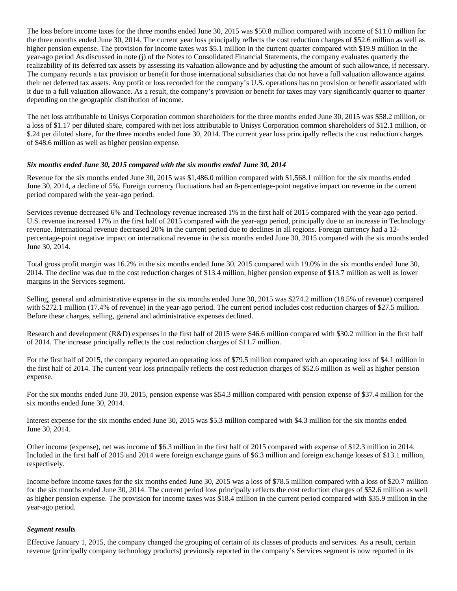The loss before income taxes for the three months ended June 30, 2015 was \$50.8 million compared with income of \$11.0 million for the three months ended June 30, 2014. The current year loss principally reflects the cost reduction charges of \$52.6 million as well as higher pension expense. The provision for income taxes was \$5.1 million in the current quarter compared with \$19.9 million in the year-ago period As discussed in note (j) of the Notes to Consolidated Financial Statements, the company evaluates quarterly the realizability of its deferred tax assets by assessing its valuation allowance and by adjusting the amount of such allowance, if necessary. The company records a tax provision or benefit for those international subsidiaries that do not have a full valuation allowance against their net deferred tax assets. Any profit or loss recorded for the company's U.S. operations has no provision or benefit associated with it due to a full valuation allowance. As a result, the company's provision or benefit for taxes may vary significantly quarter to quarter depending on the geographic distribution of income.

The net loss attributable to Unisys Corporation common shareholders for the three months ended June 30, 2015 was \$58.2 million, or a loss of \$1.17 per diluted share, compared with net loss attributable to Unisys Corporation common shareholders of \$12.1 million, or \$.24 per diluted share, for the three months ended June 30, 2014. The current year loss principally reflects the cost reduction charges of \$48.6 million as well as higher pension expense.

#### *Six months ended June 30, 2015 compared with the six months ended June 30, 2014*

Revenue for the six months ended June 30, 2015 was \$1,486.0 million compared with \$1,568.1 million for the six months ended June 30, 2014, a decline of 5%. Foreign currency fluctuations had an 8-percentage-point negative impact on revenue in the current period compared with the year-ago period.

Services revenue decreased 6% and Technology revenue increased 1% in the first half of 2015 compared with the year-ago period. U.S. revenue increased 17% in the first half of 2015 compared with the year-ago period, principally due to an increase in Technology revenue. International revenue decreased 20% in the current period due to declines in all regions. Foreign currency had a 12 percentage-point negative impact on international revenue in the six months ended June 30, 2015 compared with the six months ended June 30, 2014.

Total gross profit margin was 16.2% in the six months ended June 30, 2015 compared with 19.0% in the six months ended June 30, 2014. The decline was due to the cost reduction charges of \$13.4 million, higher pension expense of \$13.7 million as well as lower margins in the Services segment.

Selling, general and administrative expense in the six months ended June 30, 2015 was \$274.2 million (18.5% of revenue) compared with \$272.1 million (17.4% of revenue) in the year-ago period. The current period includes cost reduction charges of \$27.5 million. Before these charges, selling, general and administrative expenses declined.

Research and development (R&D) expenses in the first half of 2015 were \$46.6 million compared with \$30.2 million in the first half of 2014. The increase principally reflects the cost reduction charges of \$11.7 million.

For the first half of 2015, the company reported an operating loss of \$79.5 million compared with an operating loss of \$4.1 million in the first half of 2014. The current year loss principally reflects the cost reduction charges of \$52.6 million as well as higher pension expense.

For the six months ended June 30, 2015, pension expense was \$54.3 million compared with pension expense of \$37.4 million for the six months ended June 30, 2014.

Interest expense for the six months ended June 30, 2015 was \$5.3 million compared with \$4.3 million for the six months ended June 30, 2014.

Other income (expense), net was income of \$6.3 million in the first half of 2015 compared with expense of \$12.3 million in 2014. Included in the first half of 2015 and 2014 were foreign exchange gains of \$6.3 million and foreign exchange losses of \$13.1 million, respectively.

Income before income taxes for the six months ended June 30, 2015 was a loss of \$78.5 million compared with a loss of \$20.7 million for the six months ended June 30, 2014. The current period loss principally reflects the cost reduction charges of \$52.6 million as well as higher pension expense. The provision for income taxes was \$18.4 million in the current period compared with \$35.9 million in the year-ago period.

#### *Segment results*

Effective January 1, 2015, the company changed the grouping of certain of its classes of products and services. As a result, certain revenue (principally company technology products) previously reported in the company's Services segment is now reported in its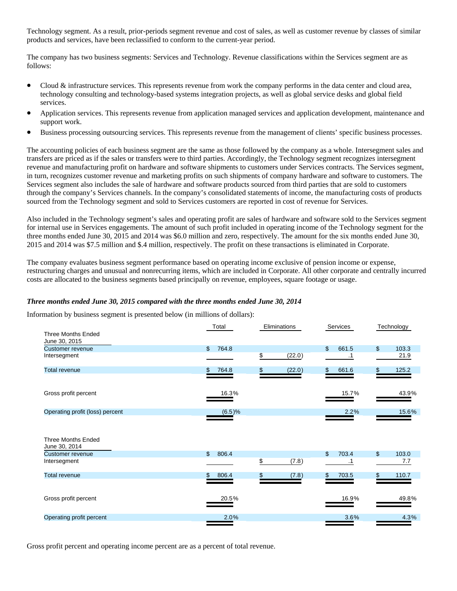Technology segment. As a result, prior-periods segment revenue and cost of sales, as well as customer revenue by classes of similar products and services, have been reclassified to conform to the current-year period.

The company has two business segments: Services and Technology. Revenue classifications within the Services segment are as follows:

- Cloud & infrastructure services. This represents revenue from work the company performs in the data center and cloud area, technology consulting and technology-based systems integration projects, as well as global service desks and global field services.
- Application services. This represents revenue from application managed services and application development, maintenance and support work.
- Business processing outsourcing services. This represents revenue from the management of clients' specific business processes.

The accounting policies of each business segment are the same as those followed by the company as a whole. Intersegment sales and transfers are priced as if the sales or transfers were to third parties. Accordingly, the Technology segment recognizes intersegment revenue and manufacturing profit on hardware and software shipments to customers under Services contracts. The Services segment, in turn, recognizes customer revenue and marketing profits on such shipments of company hardware and software to customers. The Services segment also includes the sale of hardware and software products sourced from third parties that are sold to customers through the company's Services channels. In the company's consolidated statements of income, the manufacturing costs of products sourced from the Technology segment and sold to Services customers are reported in cost of revenue for Services.

Also included in the Technology segment's sales and operating profit are sales of hardware and software sold to the Services segment for internal use in Services engagements. The amount of such profit included in operating income of the Technology segment for the three months ended June 30, 2015 and 2014 was \$6.0 million and zero, respectively. The amount for the six months ended June 30, 2015 and 2014 was \$7.5 million and \$.4 million, respectively. The profit on these transactions is eliminated in Corporate.

The company evaluates business segment performance based on operating income exclusive of pension income or expense, restructuring charges and unusual and nonrecurring items, which are included in Corporate. All other corporate and centrally incurred costs are allocated to the business segments based principally on revenue, employees, square footage or usage.

#### *Three months ended June 30, 2015 compared with the three months ended June 30, 2014*

Information by business segment is presented below (in millions of dollars):

|                                            |                | Total  | Eliminations |        |     | Services  | Technology  |
|--------------------------------------------|----------------|--------|--------------|--------|-----|-----------|-------------|
| <b>Three Months Ended</b><br>June 30, 2015 |                |        |              |        |     |           |             |
| <b>Customer revenue</b>                    | $\mathfrak{L}$ | 764.8  |              |        | \$  | 661.5     | \$<br>103.3 |
| Intersegment                               |                |        | \$           | (22.0) |     | $\cdot$ 1 | 21.9        |
| <b>Total revenue</b>                       |                | 764.8  |              | (22.0) | \$. | 661.6     | \$<br>125.2 |
| Gross profit percent                       |                | 16.3%  |              |        |     | 15.7%     | 43.9%       |
| Operating profit (loss) percent            |                | (6.5)% |              |        |     | 2.2%      | 15.6%       |
| <b>Three Months Ended</b><br>June 30, 2014 |                |        |              |        |     |           |             |
| <b>Customer revenue</b>                    | $\mathbf{\$}$  | 806.4  |              |        | \$  | 703.4     | \$<br>103.0 |
| Intersegment                               |                |        | \$           | (7.8)  |     | $\cdot$ 1 | 7.7         |
| <b>Total revenue</b>                       | \$             | 806.4  | \$           | (7.8)  | \$  | 703.5     | \$<br>110.7 |
| Gross profit percent                       |                | 20.5%  |              |        |     | 16.9%     | 49.8%       |
| Operating profit percent                   |                | 2.0%   |              |        |     | 3.6%      | 4.3%        |
|                                            |                |        |              |        |     |           |             |

Gross profit percent and operating income percent are as a percent of total revenue.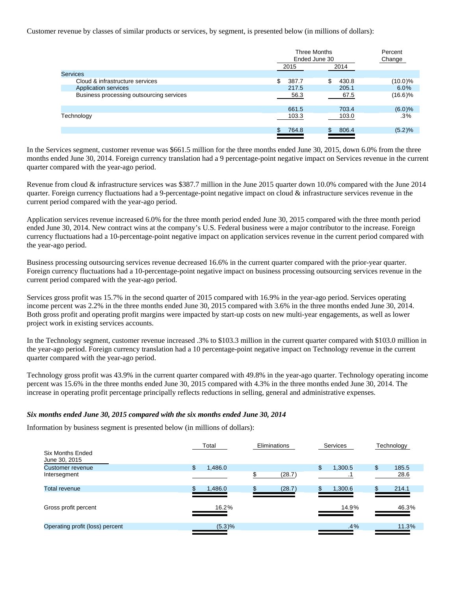Customer revenue by classes of similar products or services, by segment, is presented below (in millions of dollars):

|                                          | Three Months<br>Ended June 30 |             | Percent<br>Change |
|------------------------------------------|-------------------------------|-------------|-------------------|
|                                          | 2015                          | 2014        |                   |
| <b>Services</b>                          |                               |             |                   |
| Cloud & infrastructure services          | \$<br>387.7                   | \$<br>430.8 | $(10.0)\%$        |
| Application services                     | 217.5                         | 205.1       | 6.0%              |
| Business processing outsourcing services | 56.3                          | 67.5        | $(16.6)\%$        |
|                                          | 661.5                         | 703.4       | (6.0)%            |
| Technology                               | 103.3                         | 103.0       | $.3\%$            |
|                                          | 764.8                         | 806.4<br>\$ | (5.2)%            |

In the Services segment, customer revenue was \$661.5 million for the three months ended June 30, 2015, down 6.0% from the three months ended June 30, 2014. Foreign currency translation had a 9 percentage-point negative impact on Services revenue in the current quarter compared with the year-ago period.

Revenue from cloud & infrastructure services was \$387.7 million in the June 2015 quarter down 10.0% compared with the June 2014 quarter. Foreign currency fluctuations had a 9-percentage-point negative impact on cloud & infrastructure services revenue in the current period compared with the year-ago period.

Application services revenue increased 6.0% for the three month period ended June 30, 2015 compared with the three month period ended June 30, 2014. New contract wins at the company's U.S. Federal business were a major contributor to the increase. Foreign currency fluctuations had a 10-percentage-point negative impact on application services revenue in the current period compared with the year-ago period.

Business processing outsourcing services revenue decreased 16.6% in the current quarter compared with the prior-year quarter. Foreign currency fluctuations had a 10-percentage-point negative impact on business processing outsourcing services revenue in the current period compared with the year-ago period.

Services gross profit was 15.7% in the second quarter of 2015 compared with 16.9% in the year-ago period. Services operating income percent was 2.2% in the three months ended June 30, 2015 compared with 3.6% in the three months ended June 30, 2014. Both gross profit and operating profit margins were impacted by start-up costs on new multi-year engagements, as well as lower project work in existing services accounts.

In the Technology segment, customer revenue increased .3% to \$103.3 million in the current quarter compared with \$103.0 million in the year-ago period. Foreign currency translation had a 10 percentage-point negative impact on Technology revenue in the current quarter compared with the year-ago period.

Technology gross profit was 43.9% in the current quarter compared with 49.8% in the year-ago quarter. Technology operating income percent was 15.6% in the three months ended June 30, 2015 compared with 4.3% in the three months ended June 30, 2014. The increase in operating profit percentage principally reflects reductions in selling, general and administrative expenses.

#### *Six months ended June 30, 2015 compared with the six months ended June 30, 2014*

Information by business segment is presented below (in millions of dollars):

|                                   | Total<br><b>Eliminations</b> |        | Services      | Technology  |
|-----------------------------------|------------------------------|--------|---------------|-------------|
| Six Months Ended<br>June 30, 2015 |                              |        |               |             |
| Customer revenue                  | \$<br>1,486.0                |        | \$<br>1,300.5 | \$<br>185.5 |
| Intersegment                      |                              | (28.7) |               | 28.6        |
| Total revenue                     | 1,486.0                      | (28.7) | 1,300.6       | 214.1       |
|                                   |                              |        |               |             |
| Gross profit percent              | 16.2%                        |        | 14.9%         | 46.3%       |
| Operating profit (loss) percent   | (5.3)%                       |        | $.4\%$        | 11.3%       |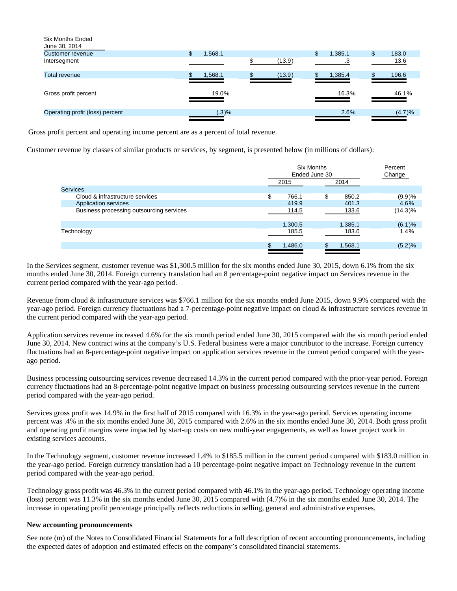| Six Months Ended<br>June 30, 2014 |              |        |               |             |
|-----------------------------------|--------------|--------|---------------|-------------|
| <b>Customer revenue</b>           | \$<br>,568.1 |        | \$<br>1,385.1 | \$<br>183.0 |
| Intersegment                      |              | (13.9) | .3            | 13.6        |
| Total revenue                     | 1,568.1      | (13.9) | 1,385.4       | 196.6       |
|                                   |              |        |               |             |
| Gross profit percent              | 19.0%        |        | 16.3%         | 46.1%       |
|                                   |              |        |               |             |
| Operating profit (loss) percent   | (.3)%        |        | 2.6%          | (4.7)%      |
|                                   |              |        |               |             |

Gross profit percent and operating income percent are as a percent of total revenue.

Customer revenue by classes of similar products or services, by segment, is presented below (in millions of dollars):

|                                          |      | <b>Six Months</b><br>Ended June 30 |                     |  |  |
|------------------------------------------|------|------------------------------------|---------------------|--|--|
|                                          | 2015 |                                    | 2014                |  |  |
| <b>Services</b>                          |      |                                    |                     |  |  |
| Cloud & infrastructure services          | \$   | \$<br>766.1                        | (9.9)%<br>850.2     |  |  |
| Application services                     |      | 419.9                              | 401.3<br>4.6%       |  |  |
| Business processing outsourcing services |      | 114.5                              | $(14.3)\%$<br>133.6 |  |  |
|                                          |      | 1,300.5                            | (6.1)%<br>1,385.1   |  |  |
| Technology                               |      | 185.5                              | 1.4%<br>183.0       |  |  |
|                                          |      | 1,486.0                            | (5.2)%<br>1,568.1   |  |  |
|                                          |      |                                    |                     |  |  |

In the Services segment, customer revenue was \$1,300.5 million for the six months ended June 30, 2015, down 6.1% from the six months ended June 30, 2014. Foreign currency translation had an 8 percentage-point negative impact on Services revenue in the current period compared with the year-ago period.

Revenue from cloud & infrastructure services was \$766.1 million for the six months ended June 2015, down 9.9% compared with the year-ago period. Foreign currency fluctuations had a 7-percentage-point negative impact on cloud & infrastructure services revenue in the current period compared with the year-ago period.

Application services revenue increased 4.6% for the six month period ended June 30, 2015 compared with the six month period ended June 30, 2014. New contract wins at the company's U.S. Federal business were a major contributor to the increase. Foreign currency fluctuations had an 8-percentage-point negative impact on application services revenue in the current period compared with the yearago period.

Business processing outsourcing services revenue decreased 14.3% in the current period compared with the prior-year period. Foreign currency fluctuations had an 8-percentage-point negative impact on business processing outsourcing services revenue in the current period compared with the year-ago period.

Services gross profit was 14.9% in the first half of 2015 compared with 16.3% in the year-ago period. Services operating income percent was .4% in the six months ended June 30, 2015 compared with 2.6% in the six months ended June 30, 2014. Both gross profit and operating profit margins were impacted by start-up costs on new multi-year engagements, as well as lower project work in existing services accounts.

In the Technology segment, customer revenue increased 1.4% to \$185.5 million in the current period compared with \$183.0 million in the year-ago period. Foreign currency translation had a 10 percentage-point negative impact on Technology revenue in the current period compared with the year-ago period.

Technology gross profit was 46.3% in the current period compared with 46.1% in the year-ago period. Technology operating income (loss) percent was 11.3% in the six months ended June 30, 2015 compared with (4.7)% in the six months ended June 30, 2014. The increase in operating profit percentage principally reflects reductions in selling, general and administrative expenses.

#### **New accounting pronouncements**

See note (m) of the Notes to Consolidated Financial Statements for a full description of recent accounting pronouncements, including the expected dates of adoption and estimated effects on the company's consolidated financial statements.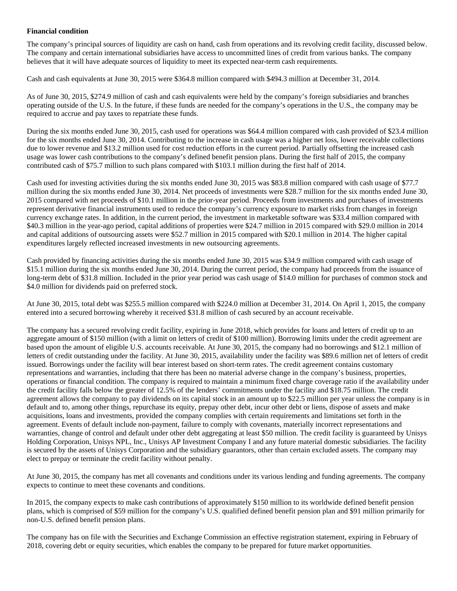#### **Financial condition**

The company's principal sources of liquidity are cash on hand, cash from operations and its revolving credit facility, discussed below. The company and certain international subsidiaries have access to uncommitted lines of credit from various banks. The company believes that it will have adequate sources of liquidity to meet its expected near-term cash requirements.

Cash and cash equivalents at June 30, 2015 were \$364.8 million compared with \$494.3 million at December 31, 2014.

As of June 30, 2015, \$274.9 million of cash and cash equivalents were held by the company's foreign subsidiaries and branches operating outside of the U.S. In the future, if these funds are needed for the company's operations in the U.S., the company may be required to accrue and pay taxes to repatriate these funds.

During the six months ended June 30, 2015, cash used for operations was \$64.4 million compared with cash provided of \$23.4 million for the six months ended June 30, 2014. Contributing to the increase in cash usage was a higher net loss, lower receivable collections due to lower revenue and \$13.2 million used for cost reduction efforts in the current period. Partially offsetting the increased cash usage was lower cash contributions to the company's defined benefit pension plans. During the first half of 2015, the company contributed cash of \$75.7 million to such plans compared with \$103.1 million during the first half of 2014.

Cash used for investing activities during the six months ended June 30, 2015 was \$83.8 million compared with cash usage of \$77.7 million during the six months ended June 30, 2014. Net proceeds of investments were \$28.7 million for the six months ended June 30, 2015 compared with net proceeds of \$10.1 million in the prior-year period. Proceeds from investments and purchases of investments represent derivative financial instruments used to reduce the company's currency exposure to market risks from changes in foreign currency exchange rates. In addition, in the current period, the investment in marketable software was \$33.4 million compared with \$40.3 million in the year-ago period, capital additions of properties were \$24.7 million in 2015 compared with \$29.0 million in 2014 and capital additions of outsourcing assets were \$52.7 million in 2015 compared with \$20.1 million in 2014. The higher capital expenditures largely reflected increased investments in new outsourcing agreements.

Cash provided by financing activities during the six months ended June 30, 2015 was \$34.9 million compared with cash usage of \$15.1 million during the six months ended June 30, 2014. During the current period, the company had proceeds from the issuance of long-term debt of \$31.8 million. Included in the prior year period was cash usage of \$14.0 million for purchases of common stock and \$4.0 million for dividends paid on preferred stock.

At June 30, 2015, total debt was \$255.5 million compared with \$224.0 million at December 31, 2014. On April 1, 2015, the company entered into a secured borrowing whereby it received \$31.8 million of cash secured by an account receivable.

The company has a secured revolving credit facility, expiring in June 2018, which provides for loans and letters of credit up to an aggregate amount of \$150 million (with a limit on letters of credit of \$100 million). Borrowing limits under the credit agreement are based upon the amount of eligible U.S. accounts receivable. At June 30, 2015, the company had no borrowings and \$12.1 million of letters of credit outstanding under the facility. At June 30, 2015, availability under the facility was \$89.6 million net of letters of credit issued. Borrowings under the facility will bear interest based on short-term rates. The credit agreement contains customary representations and warranties, including that there has been no material adverse change in the company's business, properties, operations or financial condition. The company is required to maintain a minimum fixed charge coverage ratio if the availability under the credit facility falls below the greater of 12.5% of the lenders' commitments under the facility and \$18.75 million. The credit agreement allows the company to pay dividends on its capital stock in an amount up to \$22.5 million per year unless the company is in default and to, among other things, repurchase its equity, prepay other debt, incur other debt or liens, dispose of assets and make acquisitions, loans and investments, provided the company complies with certain requirements and limitations set forth in the agreement. Events of default include non-payment, failure to comply with covenants, materially incorrect representations and warranties, change of control and default under other debt aggregating at least \$50 million. The credit facility is guaranteed by Unisys Holding Corporation, Unisys NPL, Inc., Unisys AP Investment Company I and any future material domestic subsidiaries. The facility is secured by the assets of Unisys Corporation and the subsidiary guarantors, other than certain excluded assets. The company may elect to prepay or terminate the credit facility without penalty.

At June 30, 2015, the company has met all covenants and conditions under its various lending and funding agreements. The company expects to continue to meet these covenants and conditions.

In 2015, the company expects to make cash contributions of approximately \$150 million to its worldwide defined benefit pension plans, which is comprised of \$59 million for the company's U.S. qualified defined benefit pension plan and \$91 million primarily for non-U.S. defined benefit pension plans.

The company has on file with the Securities and Exchange Commission an effective registration statement, expiring in February of 2018, covering debt or equity securities, which enables the company to be prepared for future market opportunities.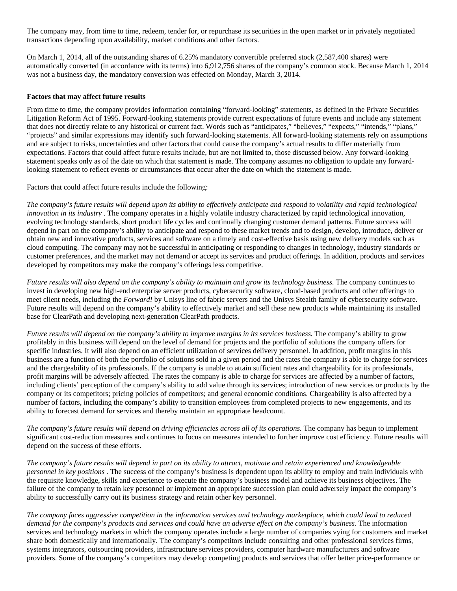The company may, from time to time, redeem, tender for, or repurchase its securities in the open market or in privately negotiated transactions depending upon availability, market conditions and other factors.

On March 1, 2014, all of the outstanding shares of 6.25% mandatory convertible preferred stock (2,587,400 shares) were automatically converted (in accordance with its terms) into 6,912,756 shares of the company's common stock. Because March 1, 2014 was not a business day, the mandatory conversion was effected on Monday, March 3, 2014.

#### **Factors that may affect future results**

From time to time, the company provides information containing "forward-looking" statements, as defined in the Private Securities Litigation Reform Act of 1995. Forward-looking statements provide current expectations of future events and include any statement that does not directly relate to any historical or current fact. Words such as "anticipates," "believes," "expects," "intends," "plans," "projects" and similar expressions may identify such forward-looking statements. All forward-looking statements rely on assumptions and are subject to risks, uncertainties and other factors that could cause the company's actual results to differ materially from expectations. Factors that could affect future results include, but are not limited to, those discussed below. Any forward-looking statement speaks only as of the date on which that statement is made. The company assumes no obligation to update any forwardlooking statement to reflect events or circumstances that occur after the date on which the statement is made.

Factors that could affect future results include the following:

*The company's future results will depend upon its ability to effectively anticipate and respond to volatility and rapid technological innovation in its industry* . The company operates in a highly volatile industry characterized by rapid technological innovation, evolving technology standards, short product life cycles and continually changing customer demand patterns. Future success will depend in part on the company's ability to anticipate and respond to these market trends and to design, develop, introduce, deliver or obtain new and innovative products, services and software on a timely and cost-effective basis using new delivery models such as cloud computing. The company may not be successful in anticipating or responding to changes in technology, industry standards or customer preferences, and the market may not demand or accept its services and product offerings. In addition, products and services developed by competitors may make the company's offerings less competitive.

*Future results will also depend on the company's ability to maintain and grow its technology business.* The company continues to invest in developing new high-end enterprise server products, cybersecurity software, cloud-based products and other offerings to meet client needs, including the *Forward!* by Unisys line of fabric servers and the Unisys Stealth family of cybersecurity software. Future results will depend on the company's ability to effectively market and sell these new products while maintaining its installed base for ClearPath and developing next-generation ClearPath products.

*Future results will depend on the company's ability to improve margins in its services business.* The company's ability to grow profitably in this business will depend on the level of demand for projects and the portfolio of solutions the company offers for specific industries. It will also depend on an efficient utilization of services delivery personnel. In addition, profit margins in this business are a function of both the portfolio of solutions sold in a given period and the rates the company is able to charge for services and the chargeability of its professionals. If the company is unable to attain sufficient rates and chargeability for its professionals, profit margins will be adversely affected. The rates the company is able to charge for services are affected by a number of factors, including clients' perception of the company's ability to add value through its services; introduction of new services or products by the company or its competitors; pricing policies of competitors; and general economic conditions. Chargeability is also affected by a number of factors, including the company's ability to transition employees from completed projects to new engagements, and its ability to forecast demand for services and thereby maintain an appropriate headcount.

*The company's future results will depend on driving efficiencies across all of its operations.* The company has begun to implement significant cost-reduction measures and continues to focus on measures intended to further improve cost efficiency. Future results will depend on the success of these efforts.

*The company's future results will depend in part on its ability to attract, motivate and retain experienced and knowledgeable personnel in key positions* . The success of the company's business is dependent upon its ability to employ and train individuals with the requisite knowledge, skills and experience to execute the company's business model and achieve its business objectives. The failure of the company to retain key personnel or implement an appropriate succession plan could adversely impact the company's ability to successfully carry out its business strategy and retain other key personnel.

*The company faces aggressive competition in the information services and technology marketplace, which could lead to reduced demand for the company's products and services and could have an adverse effect on the company's business.* The information services and technology markets in which the company operates include a large number of companies vying for customers and market share both domestically and internationally. The company's competitors include consulting and other professional services firms, systems integrators, outsourcing providers, infrastructure services providers, computer hardware manufacturers and software providers. Some of the company's competitors may develop competing products and services that offer better price-performance or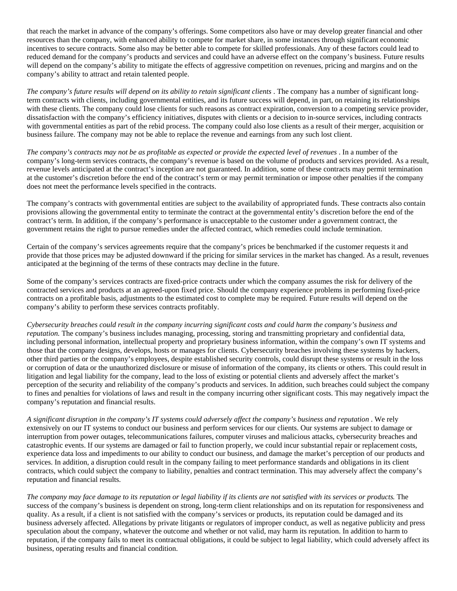that reach the market in advance of the company's offerings. Some competitors also have or may develop greater financial and other resources than the company, with enhanced ability to compete for market share, in some instances through significant economic incentives to secure contracts. Some also may be better able to compete for skilled professionals. Any of these factors could lead to reduced demand for the company's products and services and could have an adverse effect on the company's business. Future results will depend on the company's ability to mitigate the effects of aggressive competition on revenues, pricing and margins and on the company's ability to attract and retain talented people.

*The company's future results will depend on its ability to retain significant clients* . The company has a number of significant longterm contracts with clients, including governmental entities, and its future success will depend, in part, on retaining its relationships with these clients. The company could lose clients for such reasons as contract expiration, conversion to a competing service provider, dissatisfaction with the company's efficiency initiatives, disputes with clients or a decision to in-source services, including contracts with governmental entities as part of the rebid process. The company could also lose clients as a result of their merger, acquisition or business failure. The company may not be able to replace the revenue and earnings from any such lost client.

*The company's contracts may not be as profitable as expected or provide the expected level of revenues* . In a number of the company's long-term services contracts, the company's revenue is based on the volume of products and services provided. As a result, revenue levels anticipated at the contract's inception are not guaranteed. In addition, some of these contracts may permit termination at the customer's discretion before the end of the contract's term or may permit termination or impose other penalties if the company does not meet the performance levels specified in the contracts.

The company's contracts with governmental entities are subject to the availability of appropriated funds. These contracts also contain provisions allowing the governmental entity to terminate the contract at the governmental entity's discretion before the end of the contract's term. In addition, if the company's performance is unacceptable to the customer under a government contract, the government retains the right to pursue remedies under the affected contract, which remedies could include termination.

Certain of the company's services agreements require that the company's prices be benchmarked if the customer requests it and provide that those prices may be adjusted downward if the pricing for similar services in the market has changed. As a result, revenues anticipated at the beginning of the terms of these contracts may decline in the future.

Some of the company's services contracts are fixed-price contracts under which the company assumes the risk for delivery of the contracted services and products at an agreed-upon fixed price. Should the company experience problems in performing fixed-price contracts on a profitable basis, adjustments to the estimated cost to complete may be required. Future results will depend on the company's ability to perform these services contracts profitably.

*Cybersecurity breaches could result in the company incurring significant costs and could harm the company's business and reputation.* The company's business includes managing, processing, storing and transmitting proprietary and confidential data, including personal information, intellectual property and proprietary business information, within the company's own IT systems and those that the company designs, develops, hosts or manages for clients. Cybersecurity breaches involving these systems by hackers, other third parties or the company's employees, despite established security controls, could disrupt these systems or result in the loss or corruption of data or the unauthorized disclosure or misuse of information of the company, its clients or others. This could result in litigation and legal liability for the company, lead to the loss of existing or potential clients and adversely affect the market's perception of the security and reliability of the company's products and services. In addition, such breaches could subject the company to fines and penalties for violations of laws and result in the company incurring other significant costs. This may negatively impact the company's reputation and financial results.

*A significant disruption in the company's IT systems could adversely affect the company's business and reputation* . We rely extensively on our IT systems to conduct our business and perform services for our clients. Our systems are subject to damage or interruption from power outages, telecommunications failures, computer viruses and malicious attacks, cybersecurity breaches and catastrophic events. If our systems are damaged or fail to function properly, we could incur substantial repair or replacement costs, experience data loss and impediments to our ability to conduct our business, and damage the market's perception of our products and services. In addition, a disruption could result in the company failing to meet performance standards and obligations in its client contracts, which could subject the company to liability, penalties and contract termination. This may adversely affect the company's reputation and financial results.

*The company may face damage to its reputation or legal liability if its clients are not satisfied with its services or products.* The success of the company's business is dependent on strong, long-term client relationships and on its reputation for responsiveness and quality. As a result, if a client is not satisfied with the company's services or products, its reputation could be damaged and its business adversely affected. Allegations by private litigants or regulators of improper conduct, as well as negative publicity and press speculation about the company, whatever the outcome and whether or not valid, may harm its reputation. In addition to harm to reputation, if the company fails to meet its contractual obligations, it could be subject to legal liability, which could adversely affect its business, operating results and financial condition.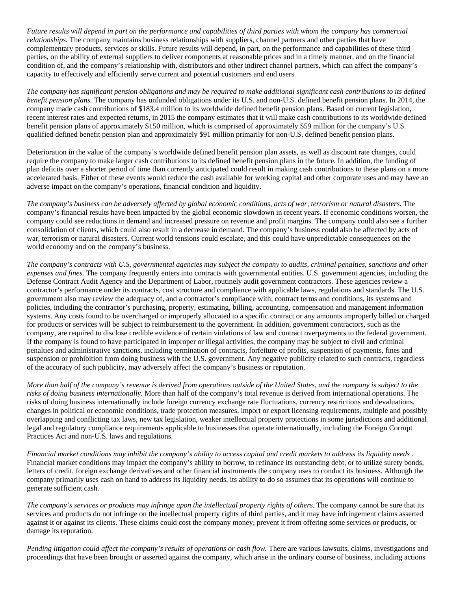*Future results will depend in part on the performance and capabilities of third parties with whom the company has commercial relationships.* The company maintains business relationships with suppliers, channel partners and other parties that have complementary products, services or skills. Future results will depend, in part, on the performance and capabilities of these third parties, on the ability of external suppliers to deliver components at reasonable prices and in a timely manner, and on the financial condition of, and the company's relationship with, distributors and other indirect channel partners, which can affect the company's capacity to effectively and efficiently serve current and potential customers and end users.

*The company has significant pension obligations and may be required to make additional significant cash contributions to its defined benefit pension plans.* The company has unfunded obligations under its U.S. and non-U.S. defined benefit pension plans. In 2014, the company made cash contributions of \$183.4 million to its worldwide defined benefit pension plans. Based on current legislation, recent interest rates and expected returns, in 2015 the company estimates that it will make cash contributions to its worldwide defined benefit pension plans of approximately \$150 million, which is comprised of approximately \$59 million for the company's U.S. qualified defined benefit pension plan and approximately \$91 million primarily for non-U.S. defined benefit pension plans.

Deterioration in the value of the company's worldwide defined benefit pension plan assets, as well as discount rate changes, could require the company to make larger cash contributions to its defined benefit pension plans in the future. In addition, the funding of plan deficits over a shorter period of time than currently anticipated could result in making cash contributions to these plans on a more accelerated basis. Either of these events would reduce the cash available for working capital and other corporate uses and may have an adverse impact on the company's operations, financial condition and liquidity.

*The company's business can be adversely affected by global economic conditions, acts of war, terrorism or natural disasters.* The company's financial results have been impacted by the global economic slowdown in recent years. If economic conditions worsen, the company could see reductions in demand and increased pressure on revenue and profit margins. The company could also see a further consolidation of clients, which could also result in a decrease in demand. The company's business could also be affected by acts of war, terrorism or natural disasters. Current world tensions could escalate, and this could have unpredictable consequences on the world economy and on the company's business.

*The company's contracts with U.S. governmental agencies may subject the company to audits, criminal penalties, sanctions and other expenses and fines.* The company frequently enters into contracts with governmental entities. U.S. government agencies, including the Defense Contract Audit Agency and the Department of Labor, routinely audit government contractors. These agencies review a contractor's performance under its contracts, cost structure and compliance with applicable laws, regulations and standards. The U.S. government also may review the adequacy of, and a contractor's compliance with, contract terms and conditions, its systems and policies, including the contractor's purchasing, property, estimating, billing, accounting, compensation and management information systems. Any costs found to be overcharged or improperly allocated to a specific contract or any amounts improperly billed or charged for products or services will be subject to reimbursement to the government. In addition, government contractors, such as the company, are required to disclose credible evidence of certain violations of law and contract overpayments to the federal government. If the company is found to have participated in improper or illegal activities, the company may be subject to civil and criminal penalties and administrative sanctions, including termination of contracts, forfeiture of profits, suspension of payments, fines and suspension or prohibition from doing business with the U.S. government. Any negative publicity related to such contracts, regardless of the accuracy of such publicity, may adversely affect the company's business or reputation.

*More than half of the company's revenue is derived from operations outside of the United States, and the company is subject to the risks of doing business internationally.* More than half of the company's total revenue is derived from international operations. The risks of doing business internationally include foreign currency exchange rate fluctuations, currency restrictions and devaluations, changes in political or economic conditions, trade protection measures, import or export licensing requirements, multiple and possibly overlapping and conflicting tax laws, new tax legislation, weaker intellectual property protections in some jurisdictions and additional legal and regulatory compliance requirements applicable to businesses that operate internationally, including the Foreign Corrupt Practices Act and non-U.S. laws and regulations.

*Financial market conditions may inhibit the company's ability to access capital and credit markets to address its liquidity needs* . Financial market conditions may impact the company's ability to borrow, to refinance its outstanding debt, or to utilize surety bonds, letters of credit, foreign exchange derivatives and other financial instruments the company uses to conduct its business. Although the company primarily uses cash on hand to address its liquidity needs, its ability to do so assumes that its operations will continue to generate sufficient cash.

*The company's services or products may infringe upon the intellectual property rights of others.* The company cannot be sure that its services and products do not infringe on the intellectual property rights of third parties, and it may have infringement claims asserted against it or against its clients. These claims could cost the company money, prevent it from offering some services or products, or damage its reputation.

*Pending litigation could affect the company's results of operations or cash flow.* There are various lawsuits, claims, investigations and proceedings that have been brought or asserted against the company, which arise in the ordinary course of business, including actions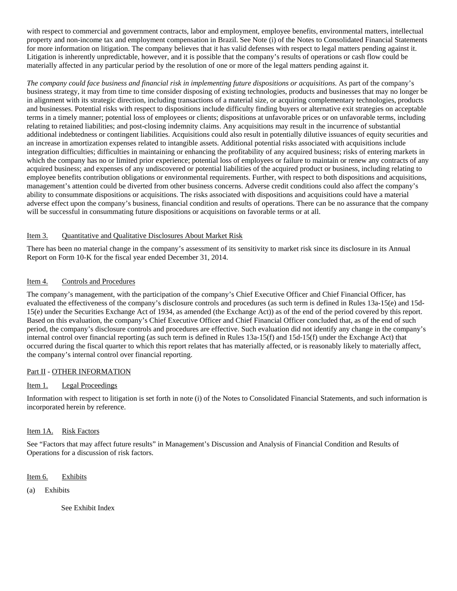with respect to commercial and government contracts, labor and employment, employee benefits, environmental matters, intellectual property and non-income tax and employment compensation in Brazil. See Note (i) of the Notes to Consolidated Financial Statements for more information on litigation. The company believes that it has valid defenses with respect to legal matters pending against it. Litigation is inherently unpredictable, however, and it is possible that the company's results of operations or cash flow could be materially affected in any particular period by the resolution of one or more of the legal matters pending against it.

*The company could face business and financial risk in implementing future dispositions or acquisitions.* As part of the company's business strategy, it may from time to time consider disposing of existing technologies, products and businesses that may no longer be in alignment with its strategic direction, including transactions of a material size, or acquiring complementary technologies, products and businesses. Potential risks with respect to dispositions include difficulty finding buyers or alternative exit strategies on acceptable terms in a timely manner; potential loss of employees or clients; dispositions at unfavorable prices or on unfavorable terms, including relating to retained liabilities; and post-closing indemnity claims. Any acquisitions may result in the incurrence of substantial additional indebtedness or contingent liabilities. Acquisitions could also result in potentially dilutive issuances of equity securities and an increase in amortization expenses related to intangible assets. Additional potential risks associated with acquisitions include integration difficulties; difficulties in maintaining or enhancing the profitability of any acquired business; risks of entering markets in which the company has no or limited prior experience; potential loss of employees or failure to maintain or renew any contracts of any acquired business; and expenses of any undiscovered or potential liabilities of the acquired product or business, including relating to employee benefits contribution obligations or environmental requirements. Further, with respect to both dispositions and acquisitions, management's attention could be diverted from other business concerns. Adverse credit conditions could also affect the company's ability to consummate dispositions or acquisitions. The risks associated with dispositions and acquisitions could have a material adverse effect upon the company's business, financial condition and results of operations. There can be no assurance that the company will be successful in consummating future dispositions or acquisitions on favorable terms or at all.

#### Item 3. Quantitative and Qualitative Disclosures About Market Risk

There has been no material change in the company's assessment of its sensitivity to market risk since its disclosure in its Annual Report on Form 10-K for the fiscal year ended December 31, 2014.

#### Item 4. Controls and Procedures

The company's management, with the participation of the company's Chief Executive Officer and Chief Financial Officer, has evaluated the effectiveness of the company's disclosure controls and procedures (as such term is defined in Rules 13a-15(e) and 15d-15(e) under the Securities Exchange Act of 1934, as amended (the Exchange Act)) as of the end of the period covered by this report. Based on this evaluation, the company's Chief Executive Officer and Chief Financial Officer concluded that, as of the end of such period, the company's disclosure controls and procedures are effective. Such evaluation did not identify any change in the company's internal control over financial reporting (as such term is defined in Rules 13a-15(f) and 15d-15(f) under the Exchange Act) that occurred during the fiscal quarter to which this report relates that has materially affected, or is reasonably likely to materially affect, the company's internal control over financial reporting.

#### Part II - OTHER INFORMATION

#### Item 1. Legal Proceedings

Information with respect to litigation is set forth in note (i) of the Notes to Consolidated Financial Statements, and such information is incorporated herein by reference.

#### Item 1A. Risk Factors

See "Factors that may affect future results" in Management's Discussion and Analysis of Financial Condition and Results of Operations for a discussion of risk factors.

Item 6. Exhibits

(a) Exhibits

See Exhibit Index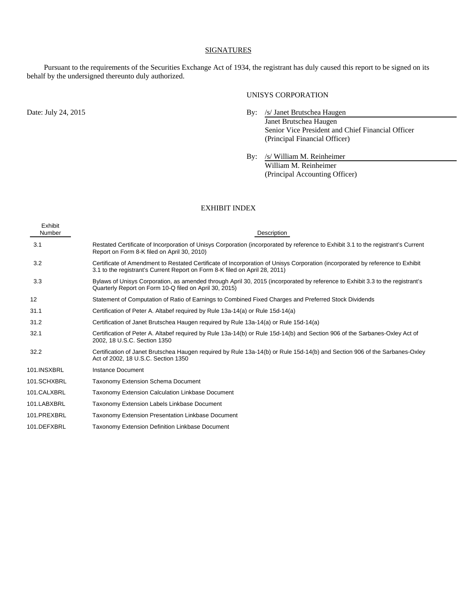#### **SIGNATURES**

Pursuant to the requirements of the Securities Exchange Act of 1934, the registrant has duly caused this report to be signed on its behalf by the undersigned thereunto duly authorized.

#### UNISYS CORPORATION

- Date: July 24, 2015 By: /s/ Janet Brutschea Haugen Janet Brutschea Haugen Senior Vice President and Chief Financial Officer (Principal Financial Officer)
	- By: /s/ William M. Reinheimer William M. Reinheimer (Principal Accounting Officer)

#### EXHIBIT INDEX

| Exhibit<br>Number | Description                                                                                                                                                                                                  |
|-------------------|--------------------------------------------------------------------------------------------------------------------------------------------------------------------------------------------------------------|
| 3.1               | Restated Certificate of Incorporation of Unisys Corporation (incorporated by reference to Exhibit 3.1 to the registrant's Current<br>Report on Form 8-K filed on April 30, 2010)                             |
| 3.2               | Certificate of Amendment to Restated Certificate of Incorporation of Unisys Corporation (incorporated by reference to Exhibit<br>3.1 to the registrant's Current Report on Form 8-K filed on April 28, 2011) |
| 3.3               | Bylaws of Unisys Corporation, as amended through April 30, 2015 (incorporated by reference to Exhibit 3.3 to the registrant's<br>Quarterly Report on Form 10-Q filed on April 30, 2015)                      |
| 12                | Statement of Computation of Ratio of Earnings to Combined Fixed Charges and Preferred Stock Dividends                                                                                                        |
| 31.1              | Certification of Peter A. Altabef required by Rule 13a-14(a) or Rule 15d-14(a)                                                                                                                               |
| 31.2              | Certification of Janet Brutschea Haugen required by Rule 13a-14(a) or Rule 15d-14(a)                                                                                                                         |
| 32.1              | Certification of Peter A. Altabef required by Rule 13a-14(b) or Rule 15d-14(b) and Section 906 of the Sarbanes-Oxley Act of<br>2002, 18 U.S.C. Section 1350                                                  |
| 32.2              | Certification of Janet Brutschea Haugen required by Rule 13a-14(b) or Rule 15d-14(b) and Section 906 of the Sarbanes-Oxley<br>Act of 2002, 18 U.S.C. Section 1350                                            |
| 101.INSXBRL       | Instance Document                                                                                                                                                                                            |
| 101.SCHXBRL       | <b>Taxonomy Extension Schema Document</b>                                                                                                                                                                    |
| 101.CALXBRL       | <b>Taxonomy Extension Calculation Linkbase Document</b>                                                                                                                                                      |
| 101.LABXBRL       | Taxonomy Extension Labels Linkbase Document                                                                                                                                                                  |
| 101.PREXBRL       | Taxonomy Extension Presentation Linkbase Document                                                                                                                                                            |
| 101.DEFXBRL       | Taxonomy Extension Definition Linkbase Document                                                                                                                                                              |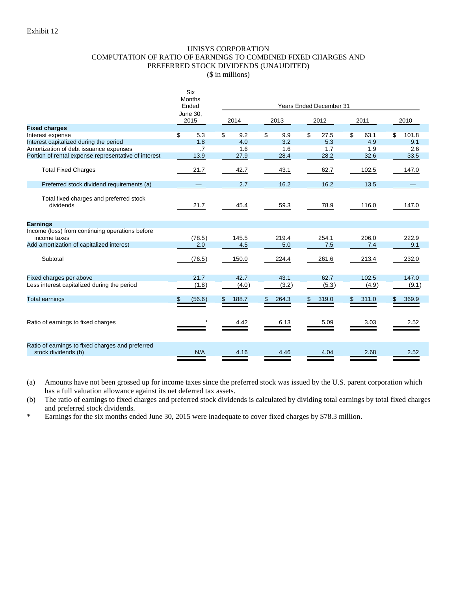#### UNISYS CORPORATION COMPUTATION OF RATIO OF EARNINGS TO COMBINED FIXED CHARGES AND PREFERRED STOCK DIVIDENDS (UNAUDITED)

(\$ in millions)

|                                                                         |                         | <b>Six</b><br><b>Months</b><br>Ended | <b>Years Ended December 31</b> |       |      |       |    |       |    |       |     |       |  |  |
|-------------------------------------------------------------------------|-------------------------|--------------------------------------|--------------------------------|-------|------|-------|----|-------|----|-------|-----|-------|--|--|
|                                                                         | <b>June 30,</b><br>2015 |                                      | 2014                           |       | 2013 |       |    | 2012  |    | 2011  |     | 2010  |  |  |
| <b>Fixed charges</b>                                                    |                         |                                      |                                |       |      |       |    |       |    |       |     |       |  |  |
| Interest expense                                                        | \$                      | 5.3                                  | \$                             | 9.2   | \$   | 9.9   | \$ | 27.5  | \$ | 63.1  | \$  | 101.8 |  |  |
| Interest capitalized during the period                                  |                         | 1.8                                  |                                | 4.0   |      | 3.2   |    | 5.3   |    | 4.9   |     | 9.1   |  |  |
| Amortization of debt issuance expenses                                  |                         | .7                                   |                                | 1.6   |      | 1.6   |    | 1.7   |    | 1.9   |     | 2.6   |  |  |
| Portion of rental expense representative of interest                    |                         | 13.9                                 |                                | 27.9  |      | 28.4  |    | 28.2  |    | 32.6  |     | 33.5  |  |  |
| <b>Total Fixed Charges</b>                                              |                         | 21.7                                 |                                | 42.7  |      | 43.1  |    | 62.7  |    | 102.5 |     | 147.0 |  |  |
| Preferred stock dividend requirements (a)                               |                         | —                                    |                                | 2.7   |      | 16.2  |    | 16.2  |    | 13.5  |     |       |  |  |
| Total fixed charges and preferred stock<br>dividends                    |                         | 21.7                                 |                                | 45.4  |      | 59.3  |    | 78.9  |    | 116.0 |     | 147.0 |  |  |
| <b>Earnings</b>                                                         |                         |                                      |                                |       |      |       |    |       |    |       |     |       |  |  |
| Income (loss) from continuing operations before<br>income taxes         |                         | (78.5)                               |                                | 145.5 |      | 219.4 |    | 254.1 |    | 206.0 |     | 222.9 |  |  |
| Add amortization of capitalized interest                                |                         | 2.0                                  |                                | 4.5   |      | 5.0   |    | 7.5   |    | 7.4   |     | 9.1   |  |  |
| Subtotal                                                                |                         | (76.5)                               |                                | 150.0 |      | 224.4 |    | 261.6 |    | 213.4 |     | 232.0 |  |  |
| Fixed charges per above                                                 |                         | 21.7                                 |                                | 42.7  |      | 43.1  |    | 62.7  |    | 102.5 |     | 147.0 |  |  |
| Less interest capitalized during the period                             |                         | (1.8)                                |                                | (4.0) |      | (3.2) |    | (5.3) |    | (4.9) |     | (9.1) |  |  |
| <b>Total earnings</b>                                                   |                         | (56.6)                               | \$                             | 188.7 | \$   | 264.3 | \$ | 319.0 | \$ | 311.0 | \$. | 369.9 |  |  |
| Ratio of earnings to fixed charges                                      |                         |                                      |                                | 4.42  |      | 6.13  |    | 5.09  |    | 3.03  |     | 2.52  |  |  |
| Ratio of earnings to fixed charges and preferred<br>stock dividends (b) |                         | N/A                                  |                                | 4.16  |      | 4.46  |    | 4.04  |    | 2.68  |     | 2.52  |  |  |

(a) Amounts have not been grossed up for income taxes since the preferred stock was issued by the U.S. parent corporation which has a full valuation allowance against its net deferred tax assets.

(b) The ratio of earnings to fixed charges and preferred stock dividends is calculated by dividing total earnings by total fixed charges and preferred stock dividends.

\* Earnings for the six months ended June 30, 2015 were inadequate to cover fixed charges by \$78.3 million.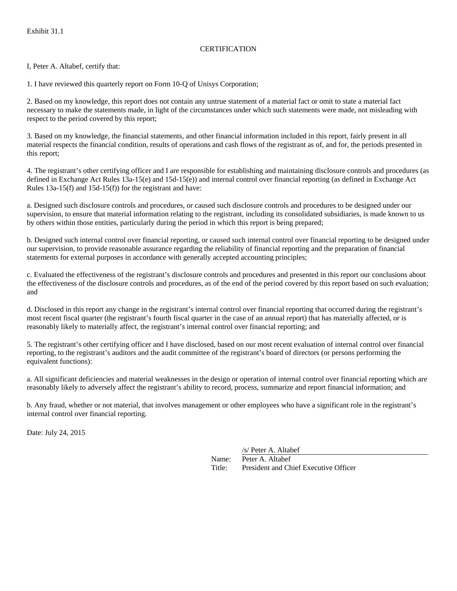#### **CERTIFICATION**

I, Peter A. Altabef, certify that:

1. I have reviewed this quarterly report on Form 10-Q of Unisys Corporation;

2. Based on my knowledge, this report does not contain any untrue statement of a material fact or omit to state a material fact necessary to make the statements made, in light of the circumstances under which such statements were made, not misleading with respect to the period covered by this report;

3. Based on my knowledge, the financial statements, and other financial information included in this report, fairly present in all material respects the financial condition, results of operations and cash flows of the registrant as of, and for, the periods presented in this report;

4. The registrant's other certifying officer and I are responsible for establishing and maintaining disclosure controls and procedures (as defined in Exchange Act Rules 13a-15(e) and 15d-15(e)) and internal control over financial reporting (as defined in Exchange Act Rules 13a-15(f) and 15d-15(f)) for the registrant and have:

a. Designed such disclosure controls and procedures, or caused such disclosure controls and procedures to be designed under our supervision, to ensure that material information relating to the registrant, including its consolidated subsidiaries, is made known to us by others within those entities, particularly during the period in which this report is being prepared;

b. Designed such internal control over financial reporting, or caused such internal control over financial reporting to be designed under our supervision, to provide reasonable assurance regarding the reliability of financial reporting and the preparation of financial statements for external purposes in accordance with generally accepted accounting principles;

c. Evaluated the effectiveness of the registrant's disclosure controls and procedures and presented in this report our conclusions about the effectiveness of the disclosure controls and procedures, as of the end of the period covered by this report based on such evaluation; and

d. Disclosed in this report any change in the registrant's internal control over financial reporting that occurred during the registrant's most recent fiscal quarter (the registrant's fourth fiscal quarter in the case of an annual report) that has materially affected, or is reasonably likely to materially affect, the registrant's internal control over financial reporting; and

5. The registrant's other certifying officer and I have disclosed, based on our most recent evaluation of internal control over financial reporting, to the registrant's auditors and the audit committee of the registrant's board of directors (or persons performing the equivalent functions):

a. All significant deficiencies and material weaknesses in the design or operation of internal control over financial reporting which are reasonably likely to adversely affect the registrant's ability to record, process, summarize and report financial information; and

b. Any fraud, whether or not material, that involves management or other employees who have a significant role in the registrant's internal control over financial reporting.

Date: July 24, 2015

/s/ Peter A. Altabef

Name: Peter A. Altabef Title: President and Chief Executive Officer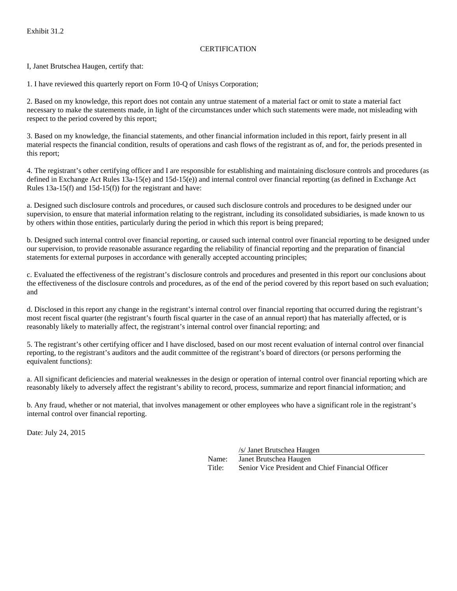#### **CERTIFICATION**

I, Janet Brutschea Haugen, certify that:

1. I have reviewed this quarterly report on Form 10-Q of Unisys Corporation;

2. Based on my knowledge, this report does not contain any untrue statement of a material fact or omit to state a material fact necessary to make the statements made, in light of the circumstances under which such statements were made, not misleading with respect to the period covered by this report;

3. Based on my knowledge, the financial statements, and other financial information included in this report, fairly present in all material respects the financial condition, results of operations and cash flows of the registrant as of, and for, the periods presented in this report;

4. The registrant's other certifying officer and I are responsible for establishing and maintaining disclosure controls and procedures (as defined in Exchange Act Rules 13a-15(e) and 15d-15(e)) and internal control over financial reporting (as defined in Exchange Act Rules 13a-15(f) and 15d-15(f)) for the registrant and have:

a. Designed such disclosure controls and procedures, or caused such disclosure controls and procedures to be designed under our supervision, to ensure that material information relating to the registrant, including its consolidated subsidiaries, is made known to us by others within those entities, particularly during the period in which this report is being prepared;

b. Designed such internal control over financial reporting, or caused such internal control over financial reporting to be designed under our supervision, to provide reasonable assurance regarding the reliability of financial reporting and the preparation of financial statements for external purposes in accordance with generally accepted accounting principles;

c. Evaluated the effectiveness of the registrant's disclosure controls and procedures and presented in this report our conclusions about the effectiveness of the disclosure controls and procedures, as of the end of the period covered by this report based on such evaluation; and

d. Disclosed in this report any change in the registrant's internal control over financial reporting that occurred during the registrant's most recent fiscal quarter (the registrant's fourth fiscal quarter in the case of an annual report) that has materially affected, or is reasonably likely to materially affect, the registrant's internal control over financial reporting; and

5. The registrant's other certifying officer and I have disclosed, based on our most recent evaluation of internal control over financial reporting, to the registrant's auditors and the audit committee of the registrant's board of directors (or persons performing the equivalent functions):

a. All significant deficiencies and material weaknesses in the design or operation of internal control over financial reporting which are reasonably likely to adversely affect the registrant's ability to record, process, summarize and report financial information; and

b. Any fraud, whether or not material, that involves management or other employees who have a significant role in the registrant's internal control over financial reporting.

Date: July 24, 2015

/s/ Janet Brutschea Haugen Name: Janet Brutschea Haugen Title: Senior Vice President and Chief Financial Officer